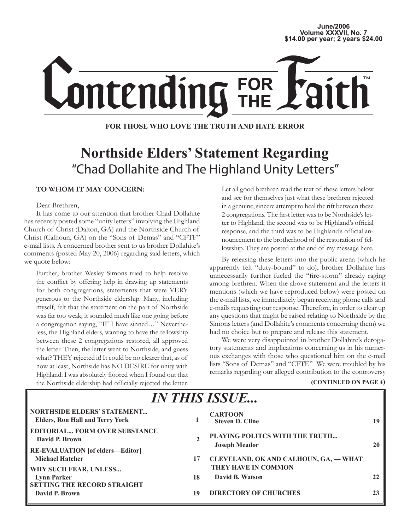## June/2006<br>Volume XXXVII, No. 7 **Volume XXXVII, No. 7 \$14.00 per year; 2 years \$24.00**



### **FOR THOSE WHO LOVE THE TRUTH AND HATE ERROR**

# **Northside Elders' Statement Regarding** "Chad Dollahite and The Highland Unity Letters"

### **TO WHOM IT MAY CONCERN:**

Dear Brethren,

II

It has come to our attention that brother Chad Dollahite has recently posted some "unity letters" involving the Highland Church of Christ (Dalton, GA) and the Northside Church of Christ (Calhoun, GA) on the "Sons of Demas" and "CFTF" e-mail lists. A concerned brother sent to us brother Dollahite's comments (posted May 20, 2006) regarding said letters, which we quote below:

Further, brother Wesley Simons tried to help resolve the conflict by offering help in drawing up statements for both congregations, statements that were VERY generous to the Northside eldership. Many, including myself, felt that the statement on the part of Northside was far too weak; it sounded much like one going before a congregation saying, "IF I have sinned…" Nevertheless, the Highland elders, wanting to have the fellowship between these 2 congregations restored, all approved the letter. Then, the letter went to Northside, and guess what? THEY rejected it! It could be no clearer that, as of now at least, Northside has NO DESIRE for unity with Highland. I was absolutely floored when I found out that the Northside eldership had officially rejected the letter.

Let all good brethren read the text of these letters below and see for themselves just what these brethren rejected in a genuine, sincere attempt to heal the rift between these 2 congregations. The first letter was to be Northside's letter to Highland, the second was to be Highland's official response, and the third was to be Highland's official announcement to the brotherhood of the restoration of fellowship. They are posted at the end of my message here.

By releasing these letters into the public arena (which he apparently felt "duty-bound" to do), brother Dollahite has unnecessarily further fueled the "fire-storm" already raging among brethren. When the above statement and the letters it mentions (which we have reproduced below) were posted on the e-mail lists, we immediately began receiving phone calls and e-mails requesting our response. Therefore, in order to clear up any questions that might be raised relating to Northside by the Simons letters (and Dollahite's comments concerning them) we had no choice but to prepare and release this statement.

We were very disappointed in brother Dollahite's derogatory statements and implications concerning us in his numerous exchanges with those who questioned him on the e-mail lists "Sons of Demas" and "CFTF." We were troubled by his remarks regarding our alleged contribution to the controversy

### **(CONTINUED ON PAGE 4)**

| ПУ І ПІД ЮДОСЬ                                                                                |    |                                                              |    |
|-----------------------------------------------------------------------------------------------|----|--------------------------------------------------------------|----|
| NORTHSIDE ELDERS' STATEMENT<br><b>Elders, Ron Hall and Terry York</b>                         |    | <b>CARTOON</b><br><b>Steven D. Cline</b>                     | 19 |
| <b>EDITORIAL FORM OVER SUBSTANCE</b><br>David P. Brown<br>   RE-EVALUATION [of elders—Editor] |    | PLAYING POLITCS WITH THE TRUTH<br><b>Joseph Meador</b>       |    |
| <b>Michael Hatcher</b><br><b>WHY SUCH FEAR, UNLESS</b>                                        | 17 | CLEVELAND, OK AND CALHOUN, GA, - WHAT<br>THEY HAVE IN COMMON |    |
| <b>Lynn Parker</b><br><b>SETTING THE RECORD STRAIGHT</b>                                      | 18 | David B. Watson                                              |    |
| David P. Brown                                                                                | 19 | <b>DIRECTORY OF CHURCHES</b>                                 |    |

*IN THIS ISSUE...*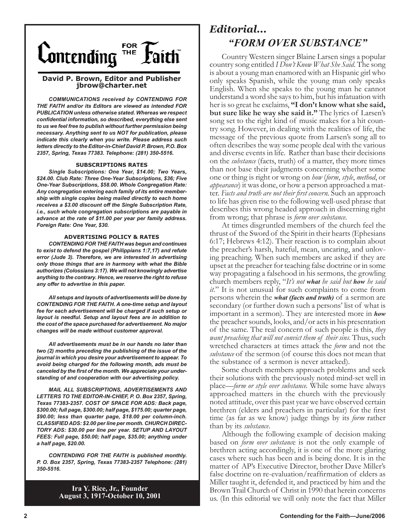

### **David P. Brown, Editor and Publisher jbrow@charter.net**

*COMMUNICATIONS received by CONTENDING FOR THE FAITH and/or its Editors are viewed as intended FOR PUBLICATION unless otherwise stated. Whereas we respect confidential information, so described, everything else sent to us we feel free to publish without further permission being necessary. Anything sent to us NOT for publication, please indicate this clearly when you write. Please address such letters directly to the Editor-in-Chief David P. Brown, P.O. Box 2357, Spring, Texas 77383. Telephone: (281) 350-5516.*

#### **SUBSCRIPTIONS RATES**

*Single Subscriptions: One Year, \$14.00; Two Years, \$24.00. Club Rate: Three One-Year Subscriptions, \$36; Five One-Year Subscriptions, \$58.00. Whole Congregation Rate: Any congregation entering each family of its entire membership with single copies being mailed directly to each home receives a \$3.00 discount off the Single Subscription Rate, i.e., such whole congregation subscriptions are payable in advance at the rate of \$11.00 per year per family address. Foreign Rate: One Year, \$30.*

#### **ADVERTISING POLICY & RATES**

*CONTENDING FOR THE FAITH was begun and continues to exist to defend the gospel (Philippians 1:7,17) and refute error (Jude 3). Therefore, we are interested in advertising only those things that are in harmony with what the Bible authorizes (Colossians 3:17). We will not knowingly advertise anything to the contrary. Hence, we reserve the right to refuse any offer to advertise in this paper.*

*All setups and layouts of advertisements will be done by CONTENDING FOR THE FAITH. A one-time setup and layout fee for each advertisement will be charged if such setup or layout is needful. Setup and layout fees are in addition to the cost of the space purchased for advertisement. No major changes will be made without customer approval.*

*All advertisements must be in our hands no later than two (2) months preceding the publishing of the issue of the journal in which you desire your advertisement to appear. To avoid being charged for the following month, ads must be canceled by the first of the month. We appreciate your understanding of and cooperation with our advertising policy.*

*MAIL ALL SUBSCRIPTIONS, ADVERTISEMENTS AND LETTERS TO THE EDITOR-IN-CHIEF, P. O. Box 2357, Spring, Texas 77383-2357. COST OF SPACE FOR ADS: Back page, \$300.00; full page, \$300.00; half page, \$175.00; quarter page, \$90.00; less than quarter page, \$18.00 per column-inch. CLASSIFIED ADS: \$2.00 per line per month. CHURCH DIREC-TORY ADS: \$30.00 per line per year. SETUP AND LAYOUT FEES: Full page, \$50.00; half page, \$35.00; anything under a half page, \$20.00.*

*CONTENDING FOR THE FAITH is published monthly. P. O. Box 2357, Spring, Texas 77383-2357 Telephone: (281) 350-5516.*

> **Ira Y. Rice, Jr., Founder August 3, 1917-October 10, 2001**

# *Editorial... "FORM OVER SUBSTANCE"*

Country Western singer Blaine Larsen sings a popular country song entitled *I Don't Know What She Said*. The song is about a young man enamored with an Hispanic girl who only speaks Spanish, while the young man only speaks English. When she speaks to the young man he cannot understand a word she says to him, but his infatuation with her is so great he exclaims, **"I don't know what she said, but sure like he way she said it."** The lyrics of Larsen's song set to the right kind of music makes for a hit country song. However, in dealing with the realities of life, the message of the previous quote from Larsen's song all to often describes the way some people deal with the various and diverse events in life. Rather than base their decisions on the *substance* (facts, truth) of a matter, they more times than not base their judgments concerning whether some one or thing is right or wrong on *how* (*form*, *style*, *method*, or *appearance*) it was done, or how a person approached a matter. *Facts and truth are not their first concern.* Such an approach to life has given rise to the following well-used phrase that describes this wrong headed approach in discerning right from wrong; that phrase is *form over substance.* 

At times disgruntled members of the church feel the thrust of the Sword of the Spirit in their hearts (Ephesians 6:17; Hebrews 4:12). Their reaction is to complain about the preacher's harsh, hateful, mean, uncaring, and unloving preaching. When such members are asked if they are upset at the preacher for teaching false doctrine or in some way propagating a falsehood in his sermons, the growling church members reply, "*It's not what he said but how he said it.*" It is not unusual for such complaints to come from persons wherein the *what (facts and truth)* of a sermon are secondary (or further down such a persons' list of what is important in a sermon). They are interested more in *how*  the preacher sounds, looks, and/or acts in his presentation of the same. The real concern of such people is this, *they want preaching that will not convict them of their sins*. Thus, such wretched characters at times attack the *form* and not the *substance* of the sermon (of course this does not mean that the substance of a sermon is never attacked).

Some church members approach problems and seek their solutions with the previously noted mind-set well in place—*form or style over substance.* While some have always approached matters in the church with the previously noted attitude, over this past year we have observed certain brethren (elders and preachers in particular) for the first time (as far as we know) judge things by its *form* rather than by its *substance*.

Although the following example of decision making based on *form over substanc*e is not the only example of brethren acting accordingly, it is one of the more glaring cases where such has been and is being done. It is in the matter of AP's Executive Director, brother Dave Miller's false doctrine on re-evaluation/reaffirmation of elders as Miller taught it, defended it, and practiced by him and the Brown Trail Church of Christ in 1990 that herein concerns us. (In this editorial we will only note the fact that Miller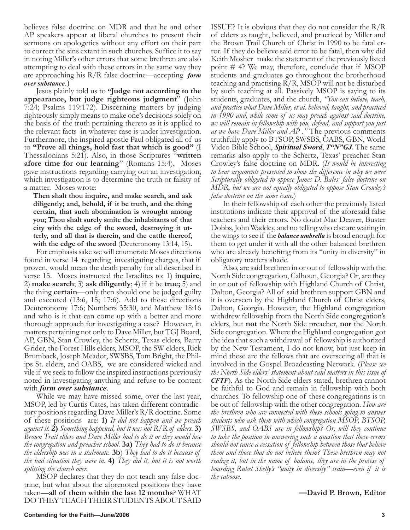believes false doctrine on MDR and that he and other AP speakers appear at liberal churches to present their sermons on apologetics without any effort on their part to correct the sins extant in such churches. Suffice it to say in noting Miller's other errors that some brethren are also attempting to deal with these errors in the same way they are approaching his R/R false doctrine—accepting *form over substance*.)

Jesus plainly told us to **"Judge not according to the appearance, but judge righteous judgment**" (John 7:24; Psalms 119:172). Discerning matters by judging righteously simply means to make one's decisions solely on the basis of the truth pertaining thereto as it is applied to the relevant facts in whatever case is under investigation. Furthermore, the inspired apostle Paul obligated all of us to **"Prove all things, hold fast that which is good"** (I Thessalonians 5:21). Also, in those Scriptures "**written afore time for our learning**" (Romans 15:4), Moses gave instructions regarding carrying out an investigation, which investigation is to determine the truth or falsity of a matter. Moses wrote:

**Then shalt thou inquire, and make search, and ask diligently; and, behold, if it be truth, and the thing certain, that such abomination is wrought among you; Thou shalt surely smite the inhabitants of that city with the edge of the sword, destroying it utterly, and all that is therein, and the cattle thereof,**  with the edge of the sword *(Deuteronomy 13:14, 15)*.

For emphasis sake we will enumerate Moses directions found in verse 14 regarding investigating charges, that if proven, would mean the death penalty for all described in verse 15. Moses instructed the Israelites to: 1) **inquire**, 2) **make search**; 3) **ask diligently**; 4) if it be **true;** 5) and the thing **certain**—only then should one be judged guilty and executed (13:6, 15; 17:6). Add to these directions Deuteronomy 17:6; Numbers 35:30, and Matthew 18:16 and who is it that can come up with a better and more thorough approach for investigating a case? However, in matters pertaining not only to Dave Miller, but TGJ Board, AP, GBN, Stan Crowley, the Schertz, Texas elders, Barry Grider, the Forest Hills elders, MSOP, the SW elders, Rick Brumback, Joseph Meador, SWSBS, Tom Bright, the Philips St. elders, and OABS, we are considered wicked and vile if we seek to follow the inspired instructions previously noted in investigating anything and refuse to be content with *form over substance*.

While we may have missed some, over the last year, MSOP, led by Curtis Cates, has taken different contradictory positions regarding Dave Miller's R/R doctrine. Some of these positions are: **1)** *It did not happen and we preach against it.* **2)** *Something happened, but it was not R/R of elders.* **3)**  *Brown Trail elders and Dave Miller had to do it or they would lose the congregation and preacher school.* **3a)** *They had to do it because the eldership was in a stalemate.* **3b**) *They had to do it because of the bad situation they were in*. **4)** *They did it, but it is not worth splitting the church over.*

MSOP declares that they do not teach any false doctrine, but what about the aforenoted positions they have taken—**all of them within the last 12 months**? WHAT DO THEY TEACH THEIR STUDENTS ABOUT SAID

ISSUE? It is obvious that they do not consider the R/R of elders as taught, believed, and practiced by Miller and the Brown Trail Church of Christ in 1990 to be fatal error. If they do believe said error to be fatal, then why did Keith Mosher make the statement of the previously listed point # 4? We may, therefore, conclude that if MSOP students and graduates go throughout the brotherhood teaching and practising R/R, MSOP will not be disturbed by such teaching at all. Passively MSOP is saying to its students, graduates, and the church, *"You can believe, teach, and practice what Dave Miller, et al. believed, taught, and practiced in 1990 and, while some of us may preach against said doctrine, we will remain in fellowship with you, defend, and support you just as we have Dave Miller and AP ."* The previous comments truthfully apply to BTSOP, SWSBS, OABS, GBN, World Video Bible School, *Spiritual Sword*, *T"N"GJ.* The same remarks also apply to the Schertz, Texas' preacher Stan Crowley's false doctrine on MDR. (*It would be interesting to hear arguments presented to show the difference in why we were Scripturally obligated to oppose James D. Bales' false doctrine on MDR, but we are not equally obligated to oppose Stan Crowley's false doctrine on the same issue*.)

In their fellowship of each other the previously listed institutions indicate their approval of the aforesaid false teachers and their errors. No doubt Mac Deaver, Buster Dobbs, John Waddey, and no telling who else are waiting in the wings to see if the *balance umbrella* is broad enough for them to get under it with all the other balanced brethren who are already benefitng from its "unity in diversity" in obligatory matters shade.

Also, are said brethren in or out of fellowship with the North Side congregation, Calhoun, Georgia? Or, are they in or out of fellowship with Highland Church of Christ, Dalton, Georgia? All of said brethren support GBN and it is overseen by the Highland Church of Christ elders, Dalton, Georgia. However, the Highland congregation withdrew fellowship from the North Side congregation's elders, but **not** the North Side preacher, **nor** the North Side congregation. Where the Highland congregation got the idea that such a withdrawal of fellowship is authorized by the New Testament, I do not know, but just keep in mind these are the fellows that are overseeing all that is involved in the Gospel Broadcasting Network. (*Please see the North Side elders' statement about said matters in this issue of CFTF*). As the North Side elders stated, brethren cannot be faithful to God and remain in fellowship with both churches. To fellowship one of these congregations is to be out of fellowship with the other congregation. *How are the brethren who are connected with these schools going to answer students who ask them with which congregation MSOP, BTSOP, SWSBS, and OABS are in fellowship? Or, will they continue to take the position in answering such a question that these errors should not cause a cessation of fellowship between those that believe them and those that do not believe them? These brethren may not realize it, but in the name of balance, they are in the process of boarding Rubel Shelly's "unity in diversity" train—even if it is the caboose.*

### **—David P. Brown, Editor**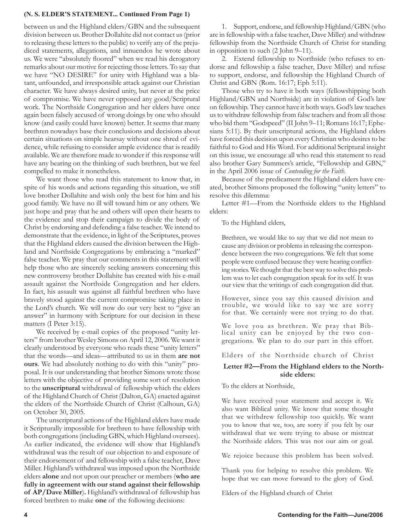### **(N. S. ELDER'S STATEMENT... Continued From Page 1)**

between us and the Highland elders/GBN and the subsequent division between us. Brother Dollahite did not contact us (prior to releasing these letters to the public) to verify any of the prejudiced statements, allegations, and innuendos he wrote about us. We were "absolutely floored" when we read his derogatory remarks about our motive for rejecting those letters. To say that we have "NO DESIRE" for unity with Highland was a blatant, unfounded, and irresponsible attack against our Christian character. We have always desired unity, but never at the price of compromise. We have never opposed any good/Scriptural work. The Northside Congregation and her elders have once again been falsely accused of wrong doings by one who should know (and easily could have known) better. It seems that many brethren nowadays base their conclusions and decisions about certain situations on simple hearsay without one shred of evidence, while refusing to consider ample evidence that is readily available. We are therefore made to wonder if this response will have any bearing on the thinking of such brethren, but we feel compelled to make it nonetheless.

We want those who read this statement to know that, in spite of his words and actions regarding this situation, we still love brother Dollahite and wish only the best for him and his good family. We have no ill will toward him or any others. We just hope and pray that he and others will open their hearts to the evidence and stop their campaign to divide the body of Christ by endorsing and defending a false teacher. We intend to demonstrate that the evidence, in light of the Scriptures, proves that the Highland elders caused the division between the Highland and Northside Congregations by embracing a "marked" false teacher. We pray that our comments in this statement will help those who are sincerely seeking answers concerning this new controversy brother Dollahite has created with his e-mail assault against the Northside Congregation and her elders. In fact, his assault was against all faithful brethren who have bravely stood against the current compromise taking place in the Lord's church. We will now do our very best to "give an answer" in harmony with Scripture for our decision in these matters (I Peter 3:15).

We received by e-mail copies of the proposed "unity letters" from brother Wesley Simons on April 12, 2006. We want it clearly understood by everyone who reads these "unity letters" that the words—and ideas—attributed to us in them **are not ours**. We had absolutely nothing to do with this "unity" proposal. It is our understanding that brother Simons wrote those letters with the objective of providing some sort of resolution to the **unscriptural** withdrawal of fellowship which the elders of the Highland Church of Christ (Dalton, GA) enacted against the elders of the Northside Church of Christ (Calhoun, GA) on October 30, 2005.

The unscriptural actions of the Highland elders have made it Scripturally impossible for brethren to have fellowship with both congregations (including GBN, which Highland oversees). As earlier indicated, the evidence will show that Highland's withdrawal was the result of our objection to and exposure of their endorsement of and fellowship with a false teacher, Dave Miller. Highland's withdrawal was imposed upon the Northside elders **alone** and not upon our preacher or members (**who are fully in agreement with our stand against their fellowship of AP/Dave Miller**)**.** Highland's withdrawal of fellowship has forced brethren to make **one** of the following decisions:

1. Support, endorse, and fellowship Highland/GBN (who are in fellowship with a false teacher, Dave Miller) and withdraw fellowship from the Northside Church of Christ for standing in opposition to such (2 John 9–11).

2. Extend fellowship to Northside (who refuses to endorse and fellowship a false teacher, Dave Miller) and refuse to support, endorse, and fellowship the Highland Church of Christ and GBN (Rom. 16:17; Eph 5:11).

Those who try to have it both ways (fellowshipping both Highland/GBN and Northside) are in violation of God's law on fellowship. They cannot have it both ways. God's law teaches us to withdraw fellowship from false teachers and from all those who bid them "Godspeed" (II John 9–11; Romans 16:17; Ephesians 5:11). By their unscriptural actions, the Highland elders have forced this decision upon every Christian who desires to be faithful to God and His Word. For additional Scriptural insight on this issue, we encourage all who read this statement to read also brother Gary Summers's article, "Fellowship and GBN," in the April 2006 issue of *Contending for the Faith*.

Because of the predicament the Highland elders have created, brother Simons proposed the following "unity letters" to resolve this dilemma:

Letter #1—From the Northside elders to the Highland elders:

To the Highland elders,

Brethren, we would like to say that we did not mean to cause any division or problems in releasing the correspondence between the two congregations. We felt that some people were confused because they were hearing conflicting stories. We thought that the best way to solve this problem was to let each congregation speak for its self. It was our view that the writings of each congregation did that.

However, since you say this caused division and trouble, we would like to say we are sorry for that. We certainly were not trying to do that.

We love you as brethren. We pray that Bib- lical unity can be enjoyed by the two congregations. We plan to do our part in this effort.

Elders of the Northside church of Christ

### **Letter #2—From the Highland elders to the Northside elders:**

To the elders at Northside,

We have received your statement and accept it. We also want Biblical unity. We know that some thought that we withdrew fellowship too quickly. We want you to know that we, too, are sorry if you felt by our withdrawal that we were trying to abuse or mistreat the Northside elders. This was not our aim or goal.

We rejoice because this problem has been solved.

Thank you for helping to resolve this problem. We hope that we can move forward to the glory of God.

Elders of the Highland church of Christ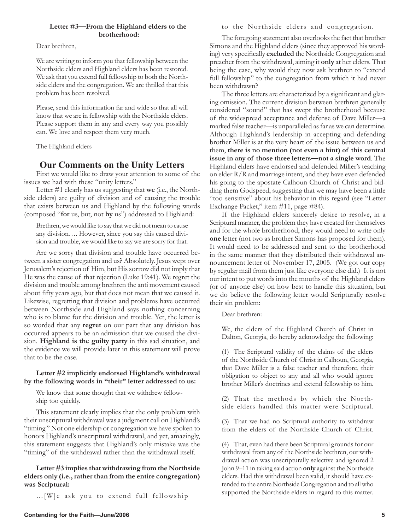### **Letter #3—From the Highland elders to the brotherhood:**

Dear brethren,

We are writing to inform you that fellowship between the Northside elders and Highland elders has been restored. We ask that you extend full fellowship to both the Northside elders and the congregation. We are thrilled that this problem has been resolved.

Please, send this information far and wide so that all will know that we are in fellowship with the Northside elders. Please support them in any and every way you possibly can. We love and respect them very much.

The Highland elders

## **Our Comments on the Unity Letters**

First we would like to draw your attention to some of the issues we had with these "unity letters."

Letter #1 clearly has us suggesting that **we** (i.e., the Northside elders) are guilty of division and of causing the trouble that exists between us and Highland by the following words (composed "**for** us, but, not **by** us") addressed to Highland:

Brethren, we would like to say that we did not mean to cause any division…. However, since you say this caused division and trouble, we would like to say we are sorry for that.

Are we sorry that division and trouble have occurred between a sister congregation and us? Absolutely. Jesus wept over Jerusalem's rejection of Him, but His sorrow did not imply that He was the cause of that rejection (Luke 19:41). We regret the division and trouble among brethren the anti movement caused about fifty years ago, but that does not mean that we caused it. Likewise, regretting that division and problems have occurred between Northside and Highland says nothing concerning who is to blame for the division and trouble. Yet, the letter is so worded that any **regret** on our part that any division has occurred appears to be an admission that we caused the division. **Highland is the guilty party** in this sad situation, and the evidence we will provide later in this statement will prove that to be the case.

### **Letter #2 implicitly endorsed Highland's withdrawal by the following words in "their" letter addressed to us:**

We know that some thought that we withdrew fellowship too quickly.

This statement clearly implies that the only problem with their unscriptural withdrawal was a judgment call on Highland's "timing." Not one eldership or congregation we have spoken to honors Highland's unscriptural withdrawal, and yet, amazingly, this statement suggests that Highland's only mistake was the "timing" of the withdrawal rather than the withdrawal itself.

**Letter #3 implies that withdrawing from the Northside elders only (i.e., rather than from the entire congregation) was Scriptural:** 

…[W]e ask you to extend full fellowship

### to the Northside elders and congregation.

The foregoing statement also overlooks the fact that brother Simons and the Highland elders (since they approved his wording) very specifically **excluded** the Northside Congregation and preacher from the withdrawal, aiming it **only** at her elders. That being the case, why would they now ask brethren to "extend full fellowship" to the congregation from which it had never been withdrawn?

The three letters are characterized by a significant and glaring omission. The current division between brethren generally considered "sound" that has swept the brotherhood because of the widespread acceptance and defense of Dave Miller—a marked false teacher—is unparalleled as far as we can determine. Although Highland's leadership in accepting and defending brother Miller is at the very heart of the issue between us and them, **there is no mention (not even a hint) of this central issue in any of those three letters—not a single word**. The Highland elders have endorsed and defended Miller's teaching on elder R/R and marriage intent, and they have even defended his going to the apostate Calhoun Church of Christ and bidding them Godspeed, suggesting that we may have been a little "too sensitive" about his behavior in this regard (see "Letter Exchange Packet," item #11, page #84).

If the Highland elders sincerely desire to resolve, in a Scriptural manner, the problem they have created for themselves and for the whole brotherhood, they would need to write only **one** letter (not two as brother Simons has proposed for them). It would need to be addressed and sent to the brotherhood in the same manner that they distributed their withdrawal announcement letter of November 17, 2005. (We got our copy by regular mail from them just like everyone else did.) It is not our intent to put words into the mouths of the Highland elders (or of anyone else) on how best to handle this situation, but we do believe the following letter would Scripturally resolve their sin problem:

Dear brethren:

We, the elders of the Highland Church of Christ in Dalton, Georgia, do hereby acknowledge the following:

(1) The Scriptural validity of the claims of the elders of the Northside Church of Christ in Calhoun, Georgia, that Dave Miller is a false teacher and therefore, their obligation to object to any and all who would ignore brother Miller's doctrines and extend fellowship to him.

(2) That the methods by which the Northside elders handled this matter were Scriptural.

(3) That we had no Scriptural authority to withdraw from the elders of the Northside Church of Christ.

(4) That, even had there been Scriptural grounds for our withdrawal from any of the Northside brethren, our withdrawal action was unscripturally selective and ignored 2 John 9–11 in taking said action **only** against the Northside elders. Had this withdrawal been valid, it should have extended to the entire Northside Congregation and to all who supported the Northside elders in regard to this matter.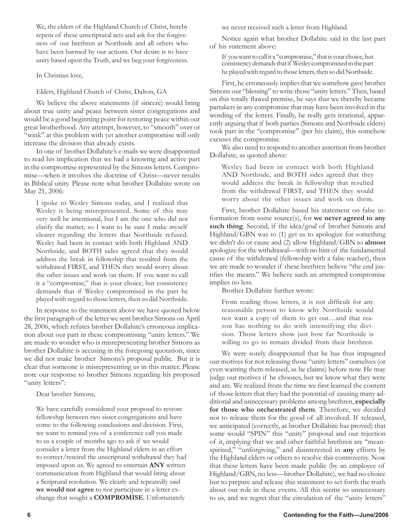We, the elders of the Highland Church of Christ, hereby repent of these unscriptural acts and ask for the forgiveness of our brethren at Northside and all others who have been harmed by our actions. Our desire is to have unity based upon the Truth, and we beg your forgiveness.

In Christian love,

Elders, Highland Church of Christ, Dalton, GA

We believe the above statements (if sincere) would bring about true unity and peace between sister congregations and would be a good beginning point for restoring peace within our great brotherhood. Any attempt, however, to "smooth" over or "wink" at this problem with yet another compromise will only increase the division that already exists.

In one of brother Dollahite's e-mails we were disappointed to read his implication that we had a knowing and active part in the compromise represented by the Simons letters. Compromise—when it involves the doctrine of Christ—never results in Biblical unity. Please note what brother Dollahite wrote on May 21, 2006:

I spoke to Wesley Simons today, and I realized that Wesley is being misrepresented. Some of this may very well be intentional, but I am the one who did not clarify the matter, so I want to be sure I make myself clearer regarding the letters that Northside refused. Wesley had been in contact with both Highland AND Northside, and BOTH sides agreed that they would address the break in fellowship that resulted from the withdrawal FIRST, and THEN they would worry about the other issues and work on them. If you want to call it a "compromise," that is your choice, but consistency demands that if Wesley compromised in the part he played with regard to those letters, then so did Northside.

In response to the statement above we have quoted below the first paragraph of the letter we sent brother Simons on April 28, 2006, which refutes brother Dollahite's erroneous implication about our part in these compromising "unity letters." We are made to wonder who is misrepresenting brother Simons as brother Dollahite is accusing in the foregoing quotation, since we did not make brother Simons's proposal public. But it is clear that someone is misrepresenting us in this matter. Please note our response to brother Simons regarding his proposed "unity letters":

Dear brother Simons,

We have carefully considered your proposal to restore fellowship between two sister congregations and have come to the following conclusions and decision. First, we want to remind you of a conference call you made to us a couple of months ago to ask if we would consider a letter from the Highland elders in an effort to correct/rescind the unscriptural withdrawal they had imposed upon us. We agreed to entertain **ANY** written communication from Highland that would bring about a Scriptural resolution. We clearly and repeatedly said **we would not agree** to nor participate in a letter exchange that sought a **COMPROMISE**. Unfortunately

we never received such a letter from Highland.

Notice again what brother Dollahite said in the last part of his statement above:

If you want to call it a "compromise," that is your choice, but consistency demands that if Wesley compromised in the part he played with regard to those letters, then so did Northside.

First, he erroneously implies that we somehow gave brother Simons our "blessing" to write those "unity letters." Then, based on this totally flawed premise, he says that we thereby became partakers in any compromise that may have been involved in the wording of the letters. Finally, he really gets irrational, apparently arguing that if both parties (Simons and Northside elders) took part in the "compromise" (per his claim), this somehow excuses the compromise.

We also need to respond to another assertion from brother Dollahite, as quoted above:

Wesley had been in contact with both Highland AND Northside, and BOTH sides agreed that they would address the break in fellowship that resulted from the withdrawal FIRST, and THEN they would worry about the other issues and work on them.

First, brother Dollahite based his statement on false information from some source(s), for **we never agreed to any such thing**. Second, if the idea/goal of brother Simons and Highland/GBN was to (1) get us to apologize for something we didn't do or cause and (2) allow Highland/GBN to **almost** apologize for the withdrawal—with no hint of the fundamental cause of the withdrawal (fellowship with a false teacher), then we are made to wonder if these brethren believe "the end justifies the means." We believe such an attempted compromise implies no less.

Brother Dollahite further wrote:

From reading those letters, it is not difficult for any reasonable person to know why Northside would not want a copy of them to get out…and that reason has nothing to do with intensifying the division. Those letters show just how far Northside is willing to go to remain divided from their brethren.

We were sorely disappointed that he has thus impugned our motives for not releasing those "unity letters" ourselves (or even wanting them released, as he claims) before now. He may judge our motives if he chooses, but we know what they were and are. We realized from the time we first learned the content of those letters that they had the potential of causing many additional and unnecessary problems among brethren, **especially for those who orchestrated them**. Therefore, we decided not to release them for the good of all involved. If released, we anticipated (correctly, as brother Dollahite has proved) that some would "SPIN" this "unity" proposal and our rejection of it, implying that we and other faithful brethren are "meanspirited," "unforgiving," and disinterested in **any** efforts by the Highland elders or others to resolve this controversy. Now that these letters have been made public (by an employee of Highland/GBN, no less—brother Dollahite), we had no choice but to prepare and release this statement to set forth the truth about our role in these events. All this seems so unnecessary to us, and we regret that the circulation of the "unity letters"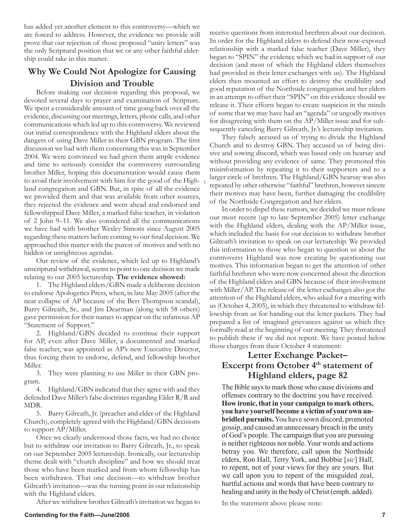has added yet another element to this controversy—which we are forced to address. However, the evidence we provide will prove that our rejection of those proposed "unity letters" was the only Scriptural position that we or any other faithful eldership could take in this matter.

## **Why We Could Not Apologize for Causing Division and Trouble**

Before making our decision regarding this proposal, we devoted several days to prayer and examination of Scripture. We spent a considerable amount of time going back over all the evidence, discussing our meetings, letters, phone calls, and other communications which led up to this controversy. We reviewed our initial correspondence with the Highland elders about the dangers of using Dave Miller in their GBN program. The first discussion we had with them concerning this was in September 2004. We were convinced we had given them ample evidence and time to seriously consider the controversy surrounding brother Miller, hoping this documentation would cause them to avoid their involvement with him for the good of the Highland congregation and GBN. But, in spite of all the evidence we provided them and that was available from other sources, they rejected the evidence and went ahead and endorsed and fellowshipped Dave Miller, a marked false teacher, in violation of 2 John 9–11. We also considered all the communications we have had with brother Wesley Simons since August 2005 regarding these matters before coming to our final decision. We approached this matter with the purest of motives and with no hidden or unrighteous agendas.

Our review of the evidence, which led up to Highland's unscriptural withdrawal, seems to point to one decision we made relating to our 2005 lectureship. **The evidence showed:** 

1. The Highland elders/GBN made a deliberate decision to endorse Apologetics Press, when, in late May 2005 (after the near collapse of AP because of the Bert Thompson scandal), Barry Gilreath, Sr., and Jim Dearman (along with 58 others) gave permission for their names to appear on the infamous AP "Statement of Support."

2. Highland/GBN decided to continue their support for AP, even after Dave Miller, a documented and marked false teacher, was appointed as AP's new Executive Director, thus forcing them to endorse, defend, and fellowship brother Miller.

3. They were planning to use Miller in their GBN program.

4. Highland/GBN indicated that they agree with and they defended Dave Miller's false doctrines regarding Elder R/R and MDR.

5. Barry Gilreath, Jr. (preacher and elder of the Highland Church), completely agreed with the Highland/GBN decisions to support AP/Miller.

Once we clearly understood those facts, we had no choice but to withdraw our invitation to Barry Gilreath, Jr., to speak on our September 2005 lectureship. Ironically, our lectureship theme dealt with "church discipline" and how we should treat those who have been marked and from whom fellowship has been withdrawn. That one decision—to withdraw brother Gilreath's invitation—was the turning point in our relationship with the Highland elders.

After we withdrew brother Gilreath's invitation we began to

receive questions from interested brethren about our decision. In order for the Highland elders to defend their now-exposed relationship with a marked false teacher (Dave Miller), they began to "SPIN" the evidence which we had in support of our decision (and most of which the Highland elders themselves had provided in their letter exchanges with us). The Highland elders then mounted an effort to destroy the credibility and good reputation of the Northside congregation and her elders in an attempt to offset their "SPIN" on this evidence should we release it. Their efforts began to create suspicion in the minds of some that we may have had an "agenda" or ungodly motives for disagreeing with them on the AP/Miller issue and for subsequently canceling Barry Gilreath, Jr.'s lectureship invitation.

They falsely accused us of trying to divide the Highland Church and to destroy GBN. They accused us of being divisive and sowing discord, which was based only on hearsay and without providing any evidence of same. They promoted this misinformation by repeating it to their supporters and to a larger circle of brethren. The Highland/GBN hearsay was also repeated by other otherwise "faithful" brethren, however sincere their motives may have been, further damaging the credibility of the Northside Congregation and her elders.

In order to dispel these rumors, we decided we must release our most recent (up to late September 2005) letter exchange with the Highland elders, dealing with the AP/Miller issue, which included the basis for our decision to withdraw brother Gilreath's invitation to speak on our lectureship. We provided this information to those who began to question us about the controversy Highland was now creating by questioning our motives. This information began to get the attention of other faithful brethren who were now concerned about the direction of the Highland elders and GBN because of their involvement with Miller/AP. The release of the letter exchanges also got the attention of the Highland elders, who asked for a meeting with us (October 4, 2005), in which they threatened to withdraw fellowship from us for handing out the letter packets. They had prepared a list of imagined grievances against us which they formally read at the beginning of our meeting. They threatened to publish these if we did not repent. We have posted below those charges from their October 4 statement:

### **Letter Exchange Packet–** Excerpt from October 4<sup>th</sup> statement of **Highland elders, page 82**

The Bible says to mark those who cause divisions and offenses contrary to the doctrine you have received. **How ironic, that in your campaign to mark others, you have yourself become a victim of your own unbridled pursuits.** You have sown discord, promoted gossip, and caused an unnecessary breach in the unity of God's people. The campaign that you are pursuing is neither righteous nor noble. Your words and actions betray you. We therefore, call upon the Northside elders, Ron Hall, Terry York, and Bobbie [*sic*] Hall, to repent, not of your views for they are yours. But we call upon you to repent of the misguided zeal, hurtful actions and words that have been contrary to healing and unity in the body of Christ (emph. added).

In the statement above please note:

### **Contending for the Faith—June/2006 7**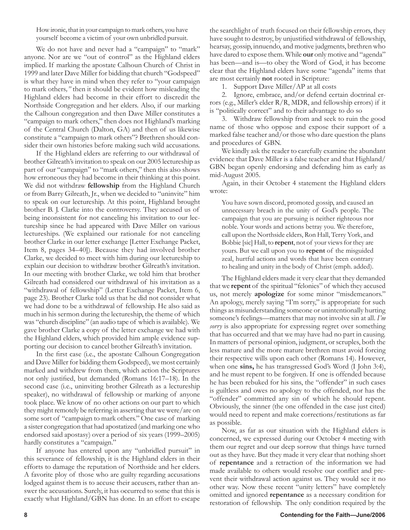How ironic, that in your campaign to mark others, you have yourself become a victim of your own unbridled pursuit.

We do not have and never had a "campaign" to "mark" anyone. Nor are we "out of control" as the Highland elders implied. If marking the apostate Calhoun Church of Christ in 1999 and later Dave Miller for bidding that church "Godspeed" is what they have in mind when they refer to "your campaign to mark others*,"* then it should be evident how misleading the Highland elders had become in their effort to discredit the Northside Congregation and her elders. Also, if our marking the Calhoun congregation and then Dave Miller constitutes a "campaign to mark others," then does not Highland's marking of the Central Church (Dalton, GA) and then of us likewise constitute a "campaign to mark others"? Brethren should consider their own histories before making such wild accusations.

If the Highland elders are referring to our withdrawal of brother Gilreath's invitation to speak on our 2005 lectureship as part of our "campaign" to "mark others," then this also shows how erroneous they had become in their thinking at this point. We did not withdraw **fellowship** from the Highland Church or from Barry Gilreath, Jr., when we decided to "uninvite" him to speak on our lectureship. At this point, Highland brought brother B. J. Clarke into the controversy. They accused us of being inconsistent for not canceling his invitation to our lectureship since he had appeared with Dave Miller on various lectureships. (We explained our rationale for not canceling brother Clarke in our letter exchange [Letter Exchange Packet, Item 8, pages 34–40]). Because they had involved brother Clarke, we decided to meet with him during our lectureship to explain our decision to withdraw brother Gilreath's invitation. In our meeting with brother Clarke, we told him that brother Gilreath had considered our withdrawal of his invitation as a "withdrawal of fellowship" (Letter Exchange Packet, Item 6, page 23). Brother Clarke told us that he did not consider what we had done to be a withdrawal of fellowship. He also said as much in his sermon during the lectureship, the theme of which was "church discipline" (an audio tape of which is available). We gave brother Clarke a copy of the letter exchange we had with the Highland elders, which provided him ample evidence supporting our decision to cancel brother Gilreath's invitation.

In the first case (i.e., the apostate Calhoun Congregation and Dave Miller for bidding them Godspeed), we most certainly marked and withdrew from them, which action the Scriptures not only justified, but demanded (Romans 16:17–18). In the second case (i.e., uninviting brother Gilreath as a lectureship speaker), no withdrawal of fellowship or marking of anyone took place. We know of no other actions on our part to which they might remotely be referring in asserting that we were/are on some sort of "campaign to mark others." One case of marking a sister congregation that had apostatized (and marking one who endorsed said apostasy) over a period of six years (1999–2005) hardly constitutes a "campaign."

If anyone has entered upon any "unbridled pursuit" in this severance of fellowship, it is the Highland elders in their efforts to damage the reputation of Northside and her elders. A favorite ploy of those who are guilty regarding accusations lodged against them is to accuse their accusers, rather than answer the accusations. Surely, it has occurred to some that this is exactly what Highland/GBN has done. In an effort to escape

the searchlight of truth focused on their fellowship errors, they have sought to destroy, by unjustified withdrawal of fellowship, hearsay, gossip, innuendo, and motive judgments, brethren who have dared to expose them. While **our** only motive and "agenda" has been—and is—to obey the Word of God, it has become clear that the Highland elders have some "agenda" items that are most certainly **not** rooted in Scripture:

1. Support Dave Miller/AP at all costs

2. Ignore, embrace, and/or defend certain doctrinal errors (e.g., Miller's elder R/R, MDR, and fellowship errors) if it is "politically correct" and to their advantage to do so

3. Withdraw fellowship from and seek to ruin the good name of those who oppose and expose their support of a marked false teacher and/or those who dare question the plans and procedures of GBN.

We kindly ask the reader to carefully examine the abundant evidence that Dave Miller is a false teacher and that Highland/ GBN began openly endorsing and defending him as early as mid-August 2005.

Again, in their October 4 statement the Highland elders wrote:

You have sown discord, promoted gossip, and caused an unnecessary breach in the unity of God's people. The campaign that you are pursuing is neither righteous nor noble. Your words and actions betray you. We therefore, call upon the Northside elders, Ron Hall, Terry York, and Bobbie [sic] Hall, to **repent**, not of your views for they are yours. But we call upon you to **repent** of the misguided zeal, hurtful actions and words that have been contrary to healing and unity in the body of Christ (emph. added).

The Highland elders made it very clear that they demanded that we **repent** of the spiritual "felonies" of which they accused us, not merely **apologize** for some minor "misdemeanors." An apology, merely saying "I'm sorry," is appropriate for such things as misunderstanding someone or unintentionally hurting someone's feelings—matters that may not involve sin at all. *I'm sorry* is also appropriate for expressing regret over something that has occurred and that we may have had no part in causing. In matters of personal opinion, judgment, or scruples, both the less mature and the more mature brethren must avoid forcing their respective wills upon each other (Romans 14). However, when one **sins,** he has transgressed God's Word (I John 3:4), and he must repent to be forgiven. If one is offended because he has been rebuked for his sins, the "offender" in such cases is guiltless and owes no apology to the offended, nor has the "offender" committed any sin of which he should repent. Obviously, the sinner (the one offended in the case just cited) would need to repent and make corrections/restitutions as far as possible.

Now, as far as our situation with the Highland elders is concerned, we expressed during our October 4 meeting with them our regret and our deep sorrow that things have turned out as they have. But they made it very clear that nothing short of **repentance** and a retraction of the information we had made available to others would resolve our conflict and prevent their withdrawal action against us. They would see it no other way. Now these recent "unity letters" have completely omitted and ignored **repentance** as a necessary condition for restoration of fellowship. The only condition required by the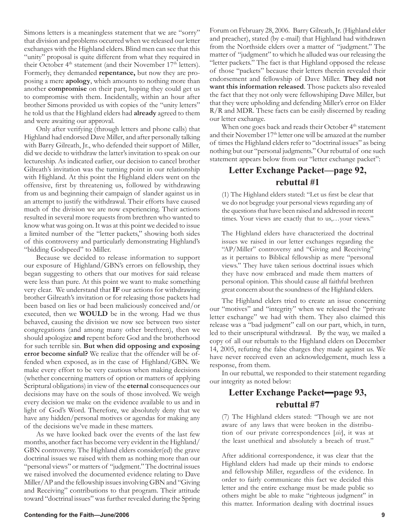Simons letters is a meaningless statement that we are "sorry" that division and problems occurred when we released our letter exchanges with the Highland elders. Blind men can see that this "unity" proposal is quite different from what they required in their October 4<sup>th</sup> statement (and their November 17<sup>th</sup> letters). Formerly, they demanded **repentance,** but now they are proposing a mere **apology**, which amounts to nothing more than another **compromise** on their part, hoping they could get us to compromise with them. Incidentally, within an hour after brother Simons provided us with copies of the "unity letters" he told us that the Highland elders had **already** agreed to them and were awaiting our approval.

Only after verifying (through letters and phone calls) that Highland had endorsed Dave Miller, and after personally talking with Barry Gilreath, Jr., who defended their support of Miller, did we decide to withdraw the latter's invitation to speak on our lectureship. As indicated earlier, our decision to cancel brother Gilreath's invitation was the turning point in our relationship with Highland. At this point the Highland elders went on the offensive, first by threatening us, followed by withdrawing from us and beginning their campaign of slander against us in an attempt to justify the withdrawal. Their efforts have caused much of the division we are now experiencing. Their actions resulted in several more requests from brethren who wanted to know what was going on. It was at this point we decided to issue a limited number of the "letter packets," showing both sides of this controversy and particularly demonstrating Highland's "bidding Godspeed" to Miller.

Because we decided to release information to support our exposure of Highland/GBN's errors on fellowship, they began suggesting to others that our motives for said release were less than pure. At this point we want to make something very clear. We understand that **IF** our actions for withdrawing brother Gilreath's invitation or for releasing those packets had been based on lies or had been maliciously conceived and/or executed, then we **WOULD** be in the wrong. Had we thus behaved, causing the division we now see between two sister congregations (and among many other brethren), then we should apologize **and** repent before God and the brotherhood for such terrible sin. **But when did opposing and exposing error become sinful?** We realize that the offender will be offended when exposed, as in the case of Highland/GBN. We make every effort to be very cautious when making decisions (whether concerning matters of option or matters of applying Scriptural obligations) in view of the **eternal** consequences our decisions may have on the souls of those involved. We weigh every decision we make on the evidence available to us and in light of God's Word. Therefore, we absolutely deny that we have any hidden/personal motives or agendas for making any of the decisions we've made in these matters.

As we have looked back over the events of the last few months, another fact has become very evident in the Highland/ GBN controversy. The Highland elders consider(ed) the grave doctrinal issues we raised with them as nothing more than our "personal views" or matters of "judgment." The doctrinal issues we raised involved the documented evidence relating to Dave Miller/AP and the fellowship issues involving GBN and "Giving and Receiving" contributions to that program. Their attitude toward "doctrinal issues" was further revealed during the Spring Forum on February 28, 2006. Barry Gilreath, Jr. (Highland elder and preacher), stated (by e-mail) that Highland had withdrawn from the Northside elders over a matter of "judgment." The matter of "judgment" to which he alluded was our releasing the "letter packets." The fact is that Highland opposed the release of those "packets" because their letters therein revealed their endorsement and fellowship of Dave Miller. **They did not want this information released**. Those packets also revealed the fact that they not only were fellowshiping Dave Miller, but that they were upholding and defending Miller's error on Elder R/R and MDR. These facts can be easily discerned by reading our letter exchange.

When one goes back and reads their October 4<sup>th</sup> statement and their November 17<sup>th</sup> letter one will be amazed at the number of times the Highland elders refer to "doctrinal issues" as being nothing but our "personal judgments." Our rebuttal of one such statement appears below from our "letter exchange packet":

# **Letter Exchange Packet—page 92, rebuttal #1**

(1) The Highland elders stated: "Let us first be clear that we do not begrudge your personal views regarding any of the questions that have been raised and addressed in recent times. Your views are exactly that to us,…your views."

The Highland elders have characterized the doctrinal issues we raised in our letter exchanges regarding the "AP/Miller" controversy and "Giving and Receiving" as it pertains to Biblical fellowship as mere "personal views." They have taken serious doctrinal issues which they have now embraced and made them matters of personal opinion. This should cause all faithful brethren great concern about the soundness of the Highland elders.

The Highland elders tried to create an issue concerning our "motives" and "integrity" when we released the "private letter exchange" we had with them. They also claimed this release was a "bad judgment" call on our part, which, in turn, led to their unscriptural withdrawal. By the way, we mailed a copy of all our rebuttals to the Highland elders on December 14, 2005, refuting the false charges they made against us. We have never received even an acknowledgement, much less a response, from them.

In our rebuttal, we responded to their statement regarding our integrity as noted below:

# **Letter Exchange Packet—page 93, rebuttal #7**

(7) The Highland elders stated: "Though we are not aware of any laws that were broken in the distribution of our private correspondences [*sic*], it was at the least unethical and absolutely a breach of trust."

After additional correspondence, it was clear that the Highland elders had made up their minds to endorse and fellowship Miller, regardless of the evidence. In order to fairly communicate this fact we decided this letter and the entire exchange must be made public so others might be able to make "righteous judgment" in this matter. Information dealing with doctrinal issues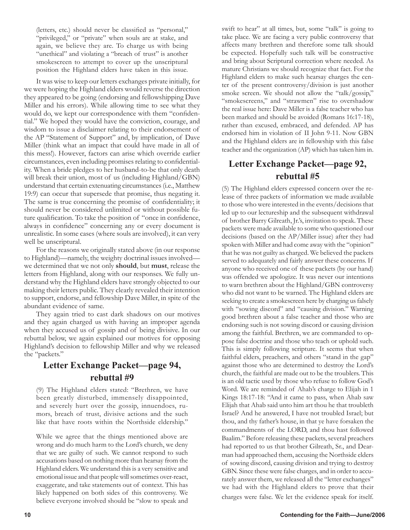(letters, etc.) should never be classified as "personal," "privileged," or "private" when souls are at stake, and again, we believe they are. To charge us with being "unethical" and violating a "breach of trust" is another smokescreen to attempt to cover up the unscriptural position the Highland elders have taken in this issue.

It was wise to keep our letters exchanges private initially, for we were hoping the Highland elders would reverse the direction they appeared to be going (endorsing and fellowshipping Dave Miller and his errors). While allowing time to see what they would do, we kept our correspondence with them "confidential." We hoped they would have the conviction, courage, and wisdom to issue a disclaimer relating to their endorsement of the AP "Statement of Support" and, by implication, of Dave Miller (think what an impact that could have made in all of this mess!). However, factors can arise which override earlier circumstances, even including promises relating to confidentiality. When a bride pledges to her husband-to-be that only death will break their union, most of us (including Highland/GBN) understand that certain extenuating circumstances (i.e., Matthew 19:9) can occur that supersede that promise, thus negating it. The same is true concerning the promise of confidentiality; it should never be considered unlimited or without possible future qualification. To take the position of "once in confidence, always in confidence" concerning any or every document is unrealistic. In some cases (where souls are involved), it can very well be unscriptural.

For the reasons we originally stated above (in our response to Highland)—namely, the weighty doctrinal issues involved we determined that we not only **should**, but **must**, release the letters from Highland, along with our responses. We fully understand why the Highland elders have strongly objected to our making their letters public. They clearly revealed their intention to support, endorse, and fellowship Dave Miller, in spite of the abundant evidence of same.

They again tried to cast dark shadows on our motives and they again charged us with having an improper agenda when they accused us of gossip and of being divisive. In our rebuttal below, we again explained our motives for opposing Highland's decision to fellowship Miller and why we released the "packets."

# **Letter Exchange Packet—page 94, rebuttal #9**

(9) The Highland elders stated: "Brethren, we have been greatly disturbed, immensely disappointed, and severely hurt over the gossip, innuendoes, rumors, breach of trust, divisive actions and the such like that have roots within the Northside eldership."

While we agree that the things mentioned above are wrong and do much harm to the Lord's church, we deny that we are guilty of such. We cannot respond to such accusations based on nothing more than hearsay from the Highland elders. We understand this is a very sensitive and emotional issue and that people will sometimes over-react, exaggerate, and take statements out of context. This has likely happened on both sides of this controversy. We believe everyone involved should be "slow to speak and swift to hear" at all times, but, some "talk" is going to take place. We are facing a very public controversy that affects many brethren and therefore some talk should be expected. Hopefully such talk will be constructive and bring about Scriptural correction where needed. As mature Christians we should recognize that fact. For the Highland elders to make such hearsay charges the center of the present controversy/division is just another smoke screen. We should not allow the "talk/gossip," "smokescreens," and "strawmen" rise to overshadow the real issue here: Dave Miller is a false teacher who has been marked and should be avoided (Romans 16:17-18), rather than excused, embraced, and defended. AP has endorsed him in violation of II John 9-11. Now GBN and the Highland elders are in fellowship with this false teacher and the organization (AP) which has taken him in.

# **Letter Exchange Packet—page 92, rebuttal #5**

(5) The Highland elders expressed concern over the release of three packets of information we made available to those who were interested in the events/decisions that led up to our lectureship and the subsequent withdrawal of brother Barry Gilreath, Jr.'s, invitation to speak. These packets were made available to some who questioned our decisions (based on the AP/Miller issue) after they had spoken with Miller and had come away with the "opinion" that he was not guilty as charged. We believed the packets served to adequately and fairly answer these concerns. If anyone who received one of these packets (by our hand) was offended we apologize. It was never our intentions to warn brethren about the Highland/GBN controversy who did not want to be warned. The Highland elders are seeking to create a smokescreen here by charging us falsely with "sowing discord" and "causing division." Warning good brethren about a false teacher and those who are endorsing such is not sowing discord or causing division among the faithful. Brethren, we are commanded to oppose false doctrine and those who teach or uphold such. This is simply following scripture. It seems that when faithful elders, preachers, and others "stand in the gap" against those who are determined to destroy the Lord's church, the faithful are made out to be the troublers. This is an old tactic used by those who refuse to follow God's Word. We are reminded of Ahab's charge to Elijah in 1 Kings 18:17-18: "And it came to pass, when Ahab saw Elijah that Ahab said unto him art thou he that troubleth Israel? And he answered, I have not troubled Israel; but thou, and thy father's house, in that ye have forsaken the commandments of the LORD, and thou hast followed Baalim." Before releasing these packets, several preachers had reported to us that brother Gilreath, Sr., and Dearman had approached them, accusing the Northside elders of sowing discord, causing division and trying to destroy GBN. Since these were false charges, and in order to accurately answer them, we released all the "letter exchanges" we had with the Highland elders to prove that their charges were false. We let the evidence speak for itself.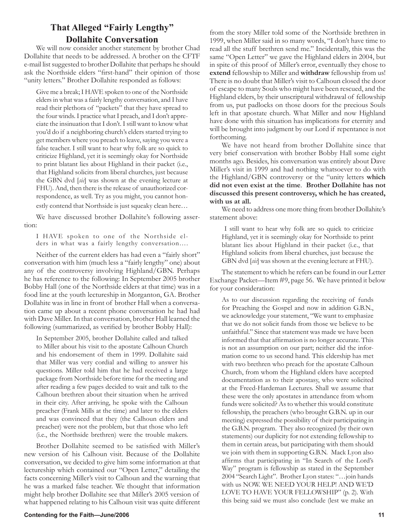# **That Alleged "Fairly Lengthy" Dollahite Conversation**

We will now consider another statement by brother Chad Dollahite that needs to be addressed. A brother on the CFTF e-mail list suggested to brother Dollahite that perhaps he should ask the Northside elders "first-hand" their opinion of those "unity letters." Brother Dollahite responded as follows:

Give me a break; I HAVE spoken to one of the Northside elders in what was a fairly lengthy conversation, and I have read their plethora of "packets" that they have spread to the four winds. I practice what I preach, and I don't appreciate the insinuation that I don't. I still want to know what you'd do if a neighboring church's elders started trying to get members where you preach to leave, saying you were a false teacher. I still want to hear why folk are so quick to criticize Highland, yet it is seemingly okay for Northside to print blatant lies about Highland in their packet (i.e., that Highland solicits from liberal churches, just because the GBN dvd [*sic*] was shown at the evening lecture at FHU). And, then there is the release of unauthorized correspondence, as well. Try as you might, you cannot hon-

estly contend that Northside is just squeaky clean here…

We have discussed brother Dollahite's following assertion:

I HAVE spoken to one of the Northside elders in what was a fairly lengthy conversation….

Neither of the current elders has had even a "fairly short" conversation with him (much less a "fairly lengthy" one) about any of the controversy involving Highland/GBN. Perhaps he has reference to the following: In September 2005 brother Bobby Hall (one of the Northside elders at that time) was in a food line at the youth lectureship in Morganton, GA. Brother Dollahite was in line in front of brother Hall when a conversation came up about a recent phone conversation he had had with Dave Miller. In that conversation, brother Hall learned the following (summarized, as verified by brother Bobby Hall):

In September 2005, brother Dollahite called and talked to Miller about his visit to the apostate Calhoun Church and his endorsement of them in 1999. Dollahite said that Miller was very cordial and willing to answer his questions. Miller told him that he had received a large package from Northside before time for the meeting and after reading a few pages decided to wait and talk to the Calhoun brethren about their situation when he arrived in their city. After arriving, he spoke with the Calhoun preacher (Frank Mills at the time) and later to the elders and was convinced that they (the Calhoun elders and preacher) were not the problem, but that those who left (i.e., the Northside brethren) were the trouble makers.

Brother Dollahite seemed to be satisfied with Miller's new version of his Calhoun visit. Because of the Dollahite conversation, we decided to give him some information at that lectureship which contained our "Open Letter," detailing the facts concerning Miller's visit to Calhoun and the warning that he was a marked false teacher. We thought that information might help brother Dollahite see that Miller's 2005 version of what happened relating to his Calhoun visit was quite different from the story Miller told some of the Northside brethren in 1999, when Miller said in so many words, "I don't have time to read all the stuff brethren send me." Incidentally, this was the same "Open Letter" we gave the Highland elders in 2004, but in spite of this proof of Miller's error, eventually they chose to **extend** fellowship to Miller and **withdraw** fellowship from us! There is no doubt that Miller's visit to Calhoun closed the door of escape to many Souls who might have been rescued, and the Highland elders, by their unscriptural withdrawal of fellowship from us, put padlocks on those doors for the precious Souls left in that apostate church. What Miller and now Highland have done with this situation has implications for eternity and will be brought into judgment by our Lord if repentance is not forthcoming.

We have not heard from brother Dollahite since that very brief conservation with brother Bobby Hall some eight months ago. Besides, his conversation was entirely about Dave Miller's visit in 1999 and had nothing whatsoever to do with the Highland/GBN controversy or the "unity letters **which did not even exist at the time**. **Brother Dollahite has not discussed this present controversy, which he has created, with us at all.**

We need to address one more thing from brother Dollahite's statement above:

 I still want to hear why folk are so quick to criticize Highland, yet it is seemingly okay for Northside to print blatant lies about Highland in their packet (i.e., that Highland solicits from liberal churches, just because the GBN dvd [*sic*] was shown at the evening lecture at FHU).

The statement to which he refers can be found in our Letter Exchange Packet—Item #9, page 56. We have printed it below for your consideration:

As to our discussion regarding the receiving of funds for Preaching the Gospel and now in addition G.B.N., we acknowledge your statement, "We want to emphasize that we do not solicit funds from those we believe to be unfaithful." Since that statement was made we have been informed that that affirmation is no longer accurate. This is not an assumption on our part; neither did the information come to us second hand. This eldership has met with two brethren who preach for the apostate Calhoun Church, from whom the Highland elders have accepted documentation as to their apostasy, who were solicited at the Freed-Hardeman Lectures. Shall we assume that these were the only apostates in attendance from whom funds were solicited? As to whether this would constitute fellowship, the preachers (who brought G.B.N. up in our meeting) expressed the possibility of their participating in the G.B.N. program. They also recognized (by their own statements) our duplicity for not extending fellowship to them in certain areas, but participating with them should we join with them in supporting G.B.N. Mack Lyon also affirms that participating in "In Search of the Lord's Way" program is fellowship as stated in the September 2004 "Search Light". Brother Lyon states: "…join hands with us NOW. WE NEED YOUR HELP! AND WE'D LOVE TO HAVE YOUR FELLOWSHIP" (p. 2)*.* With this being said we must also conclude (lest we make an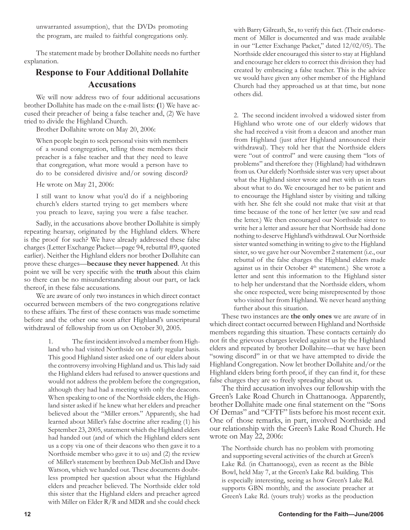unwarranted assumption), that the DVDs promoting the program, are mailed to faithful congregations only.

The statement made by brother Dollahite needs no further explanation.

# **Response to Four Additional Dollahite Accusations**

We will now address two of four additional accusations brother Dollahite has made on the e-mail lists: **(**1) We have accused their preacher of being a false teacher and, (2) We have tried to divide the Highland Church.

Brother Dollahite wrote on May 20, 2006:

When people begin to seek personal visits with members of a sound congregation, telling those members their preacher is a false teacher and that they need to leave that congregation, what more would a person have to do to be considered divisive and/or sowing discord?

He wrote on May 21, 2006:

I still want to know what you'd do if a neighboring church's elders started trying to get members where you preach to leave, saying you were a false teacher.

Sadly, in the accusations above brother Dollahite is simply repeating hearsay, originated by the Highland elders. Where is the proof for such? We have already addressed these false charges (Letter Exchange Packet—page 94, rebuttal #9, quoted earlier). Neither the Highland elders nor brother Dollahite can prove these charges—**because they never happened**. At this point we will be very specific with the **truth** about this claim so there can be no misunderstanding about our part, or lack thereof, in these false accusations.

We are aware of only two instances in which direct contact occurred between members of the two congregations relative to these affairs. The first of these contacts was made sometime before and the other one soon after Highland's unscriptural withdrawal of fellowship from us on October 30, 2005.

> 1. The first incident involved a member from Highland who had visited Northside on a fairly regular basis. This good Highland sister asked one of our elders about the controversy involving Highland and us. This lady said the Highland elders had refused to answer questions and would not address the problem before the congregation, although they had had a meeting with only the deacons. When speaking to one of the Northside elders, the Highland sister asked if he knew what her elders and preacher believed about the "Miller errors." Apparently, she had learned about Miller's false doctrine after reading (1) his September 23, 2005, statement which the Highland elders had handed out (and of which the Highland elders sent us a copy via one of their deacons who then gave it to a Northside member who gave it to us) and (2) the review of Miller's statement by brethren Dub McClish and Dave Watson, which we handed out. These documents doubtless prompted her question about what the Highland elders and preacher believed. The Northside elder told this sister that the Highland elders and preacher agreed with Miller on Elder R/R and MDR and she could check

with Barry Gilreath, Sr., to verify this fact. (Their endorsement of Miller is documented and was made available in our "Letter Exchange Packet," dated 12/02/05). The Northside elder encouraged this sister to stay at Highland and encourage her elders to correct this division they had created by embracing a false teacher. This is the advice we would have given any other member of the Highland Church had they approached us at that time, but none others did.

2. The second incident involved a widowed sister from Highland who wrote one of our elderly widows that she had received a visit from a deacon and another man from Highland (just after Highland announced their withdrawal). They told her that the Northside elders were "out of control" and were causing them "lots of problems" and therefore they (Highland) had withdrawn from us. Our elderly Northside sister was very upset about what the Highland sister wrote and met with us in tears about what to do. We encouraged her to be patient and to encourage the Highland sister by visiting and talking with her. She felt she could not make that visit at that time because of the tone of her letter (we saw and read the letter.) We then encouraged our Northside sister to write her a letter and assure her that Northside had done nothing to deserve Highland's withdrawal. Our Northside sister wanted something in writing to give to the Highland sister, so we gave her our November 2 statement (i.e., our rebuttal of the false charges the Highland elders made against us in their October 4<sup>th</sup> statement.) She wrote a letter and sent this information to the Highland sister to help her understand that the Northside elders, whom she once respected, were being misrepresented by those who visited her from Highland. We never heard anything further about this situation.

These two instances are **the only ones** we are aware of in which direct contact occurred between Highland and Northside members regarding this situation. These contacts certainly do not fit the grievous charges leveled against us by the Highland elders and repeated by brother Dollahite—that we have been "sowing discord" in or that we have attempted to divide the Highland Congregation. Now let brother Dollahite and/or the Highland elders bring forth proof, if they can find it, for these false charges they are so freely spreading about us.

The third accusation involves our fellowship with the Green's Lake Road Church in Chattanooga. Apparently, brother Dollahite made one final statement on the "Sons Of Demas" and "CFTF" lists before his most recent exit. One of those remarks, in part, involved Northside and our relationship with the Green's Lake Road Church. He wrote on May 22, 2006:

The Northside church has no problem with promoting and supporting several activities of the church at Green's Lake Rd. (in Chattanooga), even as recent as the Bible Bowl, held May 7, at the Green's Lake Rd. building. This is especially interesting, seeing as how Green's Lake Rd. supports GBN monthly, and the associate preacher at Green's Lake Rd. (yours truly) works as the production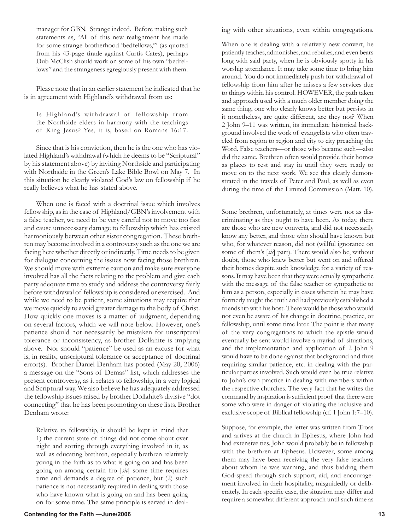manager for GBN. Strange indeed. Before making such statements as, "All of this new realignment has made for some strange brotherhood 'bedfellows,'" (as quoted from his 43-page tirade against Curtis Cates), perhaps Dub McClish should work on some of his own "bedfellows" and the strangeness egregiously present with them.

Please note that in an earlier statement he indicated that he is in agreement with Highland's withdrawal from us:

Is Highland's withdrawal of fellowship from the Northside elders in harmony with the teachings of King Jesus? Yes, it is, based on Romans 16:17.

Since that is his conviction, then he is the one who has violated Highland's withdrawal (which he deems to be "Scriptural" by his statement above) by inviting Northside and participating with Northside in the Green's Lake Bible Bowl on May 7. In this situation he clearly violated God's law on fellowship if he really believes what he has stated above.

When one is faced with a doctrinal issue which involves fellowship, as in the case of Highland/GBN's involvement with a false teacher, we need to be very careful not to move too fast and cause unnecessary damage to fellowship which has existed harmoniously between other sister congregation. These brethren may become involved in a controversy such as the one we are facing here whether directly or indirectly. Time needs to be given for dialogue concerning the issues now facing those brethren. We should move with extreme caution and make sure everyone involved has all the facts relating to the problem and give each party adequate time to study and address the controversy fairly before withdrawal of fellowship is considered or exercised. And while we need to be patient, some situations may require that we move quickly to avoid greater damage to the body of Christ. How quickly one moves is a matter of judgment, depending on several factors, which we will note below. However, one's patience should not necessarily be mistaken for unscriptural tolerance or inconsistency, as brother Dollahite is implying above. Nor should "patience" be used as an excuse for what is, in reality, unscriptural tolerance or acceptance of doctrinal error(s). Brother Daniel Denham has posted (May 20, 2006) a message on the "Sons of Demas" list, which addresses the present controversy, as it relates to fellowship, in a very logical and Scriptural way. We also believe he has adequately addressed the fellowship issues raised by brother Dollahite's divisive "dot connecting" that he has been promoting on these lists. Brother Denham wrote:

Relative to fellowship, it should be kept in mind that 1) the current state of things did not come about over night and sorting through everything involved in it, as well as educating brethren, especially brethren relatively young in the faith as to what is going on and has been going on among certain fro [*sic*] some time requires time and demands a degree of patience, but (2) such patience is not necessarily required in dealing with those who have known what is going on and has been going on for some time. The same principle is served in dealing with other situations, even within congregations.

When one is dealing with a relatively new convert, he patiently teaches, admonishes, and rebukes, and even bears long with said party, when he is obviously spotty in his worship attendance. It may take some time to bring him around. You do not immediately push for withdrawal of fellowship from him after he misses a few services due to things within his control. HOWEVER, the path taken and approach used with a much older member doing the same thing, one who clearly knows better but persists in it nonetheless, are quite different, are they not? When 2 John 9–11 was written, its immediate historical background involved the work of evangelists who often traveled from region to region and city to city preaching the Word. False teachers—or those who became such—also did the same. Brethren often would provide their homes as places to rest and stay in until they were ready to move on to the next work. We see this clearly demonstrated in the travels of Peter and Paul, as well as even during the time of the Limited Commission (Matt. 10).

Some brethren, unfortunately, at times were not as discriminating as they ought to have been. As today, there are those who are new converts, and did not necessarily know any better, and those who should have known but who, for whatever reason, did not (willful ignorance on some of them's [*sic*] part). There would also be, without doubt, those who knew better but went on and offered their homes despite such knowledge for a variety of reasons. It may have been that they were actually sympathetic with the message of the false teacher or sympathetic to him as a person, especially in cases wherein he may have formerly taught the truth and had previously established a friendship with his host. There would be those who would not even be aware of his change in doctrine, practice, or fellowship, until some time later. The point is that many of the very congregations to which the epistle would eventually be sent would involve a myriad of situations, and the implementation and application of 2 John 9 would have to be done against that background and thus requiring similar patience, etc. in dealing with the particular parties involved. Such would even be true relative to John's own practice in dealing with members within the respective churches. The very fact that he writes the command by inspiration is sufficient proof that there were some who were in danger of violating the inclusive and exclusive scope of Biblical fellowship (cf. 1 John 1:7–10).

Suppose, for example, the letter was written from Troas and arrives at the church in Ephesus, where John had had extensive ties. John would probably be in fellowship with the brethren at Ephesus. However, some among them may have been receiving the very false teachers about whom he was warning, and thus bidding them God-speed through such support, aid, and encouragement involved in their hospitality, misguidedly or deliberately. In each specific case, the situation may differ and require a somewhat different approach until such time as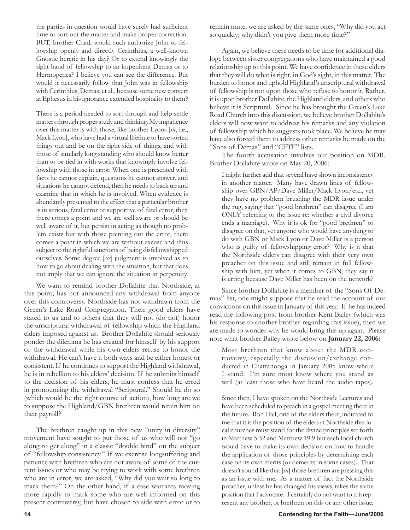the parties in question would have surely had sufficient time to sort out the matter and make proper correction. BUT, brother Chad, would such authorize John to fellowship openly and directly Cerinthius, a well-known Gnostic heretic in his day? Or to extend knowingly the right hand of fellowship to an impenitent Demas or to Hermogenes? I believe you can see the difference. But would it necessarily follow that John was in fellowship with Cerinthius, Demas, et al., because some new convert at Ephesus in his ignorance extended hospitality to them?

There is a period needed to sort through and help settle matters through proper study and thinking. My impatience over this matter is with those, like brother Lyons [*sic*, i.e., Mack Lyon], who have had a virtual lifetime to have sorted things out and be on the right side of things, and with those of similarly long standing who should know better than to be tied in with works that knowingly involve fellowship with those in error. When one is presented with facts he cannot explain, questions he cannot answer, and situations he cannot defend, then he needs to back up and examine that in which he is involved. When evidence is abundantly presented to the effect that a particular brother is in serious, fatal error or supportive of fatal error, then there comes a point and we are well aware or should be well aware of it, but persist in acting as though no problem exists but with those pointing out the error, there comes a point in which we are without excuse and thus subject to the rightful sanctions of being disfellowshipped ourselves. Some degree [*sic*] judgment is involved as to how to go about dealing with the situation, but that does not imply that we can ignore the situation in perpetuity.

We want to remind brother Dollahite that Northside, at this point, has not announced any withdrawal from anyone over this controversy. Northside has not withdrawn from the Green's Lake Road Congregation. Their good elders have stated to us and to others that they will not (do not) honor the unscriptural withdrawal of fellowship which the Highland elders imposed against us. Brother Dollahite should seriously ponder the dilemma he has created for himself by his support of the withdrawal while his own elders refuse to honor the withdrawal. He can't have it both ways and be either honest or consistent. If he continues to support the Highland withdrawal, he is in rebellion to his elders' decision. If he submits himself to the decision of his elders, he must confess that he erred in pronouncing the withdrawal "Scriptural." Should he do so (which would be the right course of action), how long are we to suppose the Highland/GBN brethren would retain him on their payroll?

The brethren caught up in this new "unity in diversity" movement have sought to put those of us who will not "go along to get along" in a classic "double bind" on the subject of "fellowship consistency." If we exercise longsuffering and patience with brethren who are not aware of some of the current issues or who may be trying to work with some brethren who are in error, we are asked, "Why did you wait so long to mark them?" On the other hand, if a case warrants moving more rapidly to mark some who are well-informed on this present controversy, but have chosen to side with error or to remain mute, we are asked by the same ones, "Why did you act so quickly; why didn't you give them more time?"

Again, we believe there needs to be time for additional dialoge between sister congregations who have maintained a good relationship up to this point. We have confidence in these elders that they will do what is right, in God's sight, in this matter. The burden to honor and uphold Highland's unscriptural withdrawal of fellowship is not upon those who refuse to honor it. Rather, it is upon brother Dollahite, the Highland elders, and others who believe it is Scriptural. Since he has brought the Green's Lake Road Church into this discussion, we believe brother Dollahite's elders will now want to address his remarks and any violation of fellowship which he suggests took place. We believe he may have also forced them to address other remarks he made on the "Sons of Demas" and "CFTF" lists.

The fourth accusation involves our position on MDR. Brother Dollahite wrote on May 20, 2006:

I might further add that several have shown inconsistency in another matter. Many have drawn lines of fellowship over GBN/AP/Dave Miller/Mack Lyon/etc., yet they have no problem brushing the MDR issue under the rug, saying that "good brethren" can disagree (I am ONLY referring to the issue re: whether a civil divorce ends a marriage). Why it is ok for "good brethren" to disagree on that, yet anyone who would have anything to do with GBN or Mack Lyon or Dave Miller is a person who is guilty of fellowshipping error? Why is it that the Northside elders can disagree with their very own preacher on this issue and still remain in full fellowship with him, yet when it comes to GBN, they say it is erring because Dave Miller has been on the network?

Since brother Dollahite is a member of the "Sons Of Demas" list, one might suppose that he read the account of our convictions on this issue in January of this year. If he has indeed read the following post from brother Kent Bailey (which was his response to another brother regarding this issue), then we are made to wonder why he would bring this up again. Please note what brother Bailey wrote below on **January 22, 2006:**

Most brethren that know about the MDR controversy, especially the discussion/exchange conducted in Chattanooga in January 2005 know where I stand. I'm sure most know where you stand as well (at least those who have heard the audio tapes).

Since then, I have spoken on the Northside Lectures and have been scheduled to preach in a gospel meeting there in the future. Ron Hall, one of the elders there, indicated to me that it is the position of the elders at Northside that local churches must stand for the divine principles set forth in Matthew 5:32 and Matthew 19:9 but each local church would have to make its own decision on how to handle the application of those principles by determining each case on its own merits (or demerits in some cases). That doesn't sound like that [*sic*] those brethren are pressing this as an issue with me. As a matter of fact the Northside preacher, unless he has changed his views, takes the same position that I advocate. I certainly do not want to misrepresent any brother, or brethren on this or any other issue.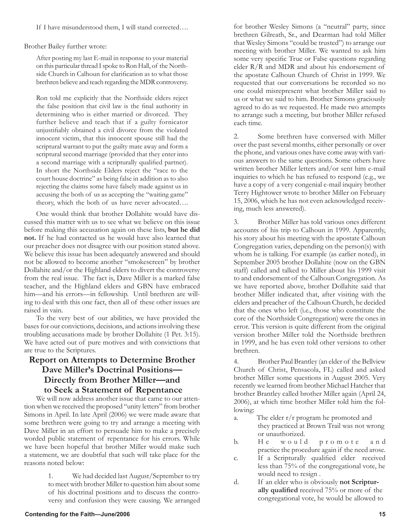If I have misunderstood them, I will stand corrected….

Brother Bailey further wrote:

After posting my last E-mail in response to your material on this particular thread I spoke to Ron Hall, of the Northside Church in Calhoun for clarification as to what those brethren believe and teach regarding the MDR controversy.

Ron told me explicitly that the Northside elders reject the false position that civil law is the final authority in determining who is either married or divorced. They further believe and teach that if a guilty fornicator unjustifiably obtained a civil divorce from the violated innocent victim, that this innocent spouse still had the scriptural warrant to put the guilty mate away and form a scriptural second marriage (provided that they enter into a second marriage with a scripturally qualified partner). In short the Northside Elders reject the "race to the court house doctrine" as being false in addition as to also rejecting the claims some have falsely made against us in accusing the both of us as accepting the "waiting game" theory, which the both of us have never advocated….

One would think that brother Dollahite would have discussed this matter with us to see what we believe on this issue before making this accusation again on these lists, **but he did not.** If he had contacted us he would have also learned that our preacher does not disagree with our position stated above. We believe this issue has been adequately answered and should not be allowed to become another "smokescreen" by brother Dollahite and/or the Highland elders to divert the controversy from the real issue. The fact is, Dave Miller is a marked false teacher, and the Highland elders and GBN have embraced him—and his errors—in fellowship. Until brethren are willing to deal with this one fact, then all of these other issues are raised in vain.

To the very best of our abilities, we have provided the bases for our convictions, decisions, and actions involving these troubling accusations made by brother Dollahite (1 Pet. 3:15). We have acted out of pure motives and with convictions that are true to the Scriptures.

### **Report on Attempts to Determine Brother Dave Miller's Doctrinal Positions— Directly from Brother Miller—and to Seek a Statement of Repentance**

We will now address another issue that came to our attention when we received the proposed "unity letters" from brother Simons in April. In late April (2006) we were made aware that some brethren were going to try and arrange a meeting with Dave Miller in an effort to persuade him to make a precisely worded public statement of repentance for his errors. While we have been hopeful that brother Miller would make such a statement, we are doubtful that such will take place for the reasons noted below:

> 1. We had decided last August/September to try to meet with brother Miller to question him about some of his doctrinal positions and to discuss the controversy and confusion they were causing. We arranged

for brother Wesley Simons (a "neutral" party, since brethren Gilreath, Sr., and Dearman had told Miller that Wesley Simons "could be trusted") to arrange our meeting with brother Miller. We wanted to ask him some very specific True or False questions regarding elder R/R and MDR and about his endorsement of the apostate Calhoun Church of Christ in 1999. We requested that our conversations be recorded so no one could misrepresent what brother Miller said to us or what we said to him. Brother Simons graciously agreed to do as we requested. He made two attempts to arrange such a meeting, but brother Miller refused each time.

2. Some brethren have conversed with Miller over the past several months, either personally or over the phone, and various ones have come away with various answers to the same questions. Some others have written brother Miller letters and/or sent him e-mail inquiries to which he has refused to respond (e.g., we have a copy of a very congenial e-mail inquiry brother Terry Hightower wrote to brother Miller on February 15, 2006, which he has not even acknowledged receiving, much less answered).

3. Brother Miller has told various ones different accounts of his trip to Calhoun in 1999. Apparently, his story about his meeting with the apostate Calhoun Congregation varies, depending on the person(s) with whom he is talking. For example (as earlier noted), in September 2005 brother Dollahite (now on the GBN staff) called and talked to Miller about his 1999 visit to and endorsement of the Calhoun Congregation. As we have reported above, brother Dollahite said that brother Miller indicated that, after visiting with the elders and preacher of the Calhoun Church, he decided that the ones who left (i.e., those who constitute the core of the Northside Congregation) were the ones in error. This version is quite different from the original version brother Miller told the Northside brethren in 1999, and he has even told other versions to other brethren.

4. Brother Paul Brantley (an elder of the Bellview Church of Christ, Pensacola, FL) called and asked brother Miller some questions in August 2005. Very recently we learned from brother Michael Hatcher that brother Brantley called brother Miller again (April 24, 2006), at which time brother Miller told him the following:

- a. The elder r/r program he promoted and they practiced at Brown Trail was not wrong or unauthorized.
- b. He would promote and practice the procedure again if the need arose.
- c. If a Scripturally qualified elder received less than 75% of the congregational vote, he would need to resign .
- d. If an elder who is obviously **not Scriptur ally qualified** received 75% or more of the congregational vote, he would be allowed to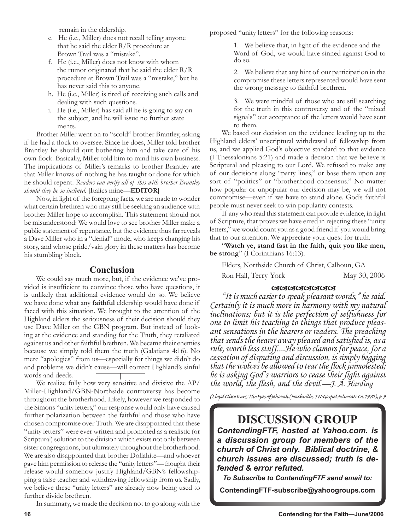remain in the eldership.

- e. He (i.e., Miller) does not recall telling anyone that he said the elder R/R procedure at Brown Trail was a "mistake".
- f. He (i.e., Miller) does not know with whom the rumor originated that he said the elder R/R procedure at Brown Trail was a "mistake," but he has never said this to anyone.
- h. He (i.e., Miller) is tired of receiving such calls and dealing with such questions.
- i. He (i.e., Miller) has said all he is going to say on the subject, and he will issue no further state ments.

Brother Miller went on to "scold" brother Brantley, asking if he had a flock to oversee. Since he does, Miller told brother Brantley he should quit bothering him and take care of his own flock. Basically, Miller told him to mind his own business. The implications of Miller's remarks to brother Brantley are that Miller knows of nothing he has taught or done for which he should repent. *Readers can verify all of this with brother Brantley should they be so inclined.* [Italics mine—**EDITOR**]

Now, in light of the foregoing facts, we are made to wonder what certain brethren who may still be seeking an audience with brother Miller hope to accomplish. This statement should not be misunderstood: We would love to see brother Miller make a public statement of repentance, but the evidence thus far reveals a Dave Miller who in a "denial" mode, who keeps changing his story, and whose pride/vain glory in these matters has become his stumbling block.

### **Conclusion**

We could say much more, but, if the evidence we've provided is insufficient to convince those who have questions, it is unlikely that additional evidence would do so. We believe we have done what any **faithful** eldership would have done if faced with this situation. We brought to the attention of the Highland elders the seriousness of their decision should they use Dave Miller on the GBN program. But instead of looking at the evidence and standing for the Truth, they retaliated against us and other faithful brethren. We became their enemies because we simply told them the truth (Galatians 4:16). No mere "apologies" from us—especially for things we didn't do and problems we didn't cause—will correct Highland's sinful words and deeds.

We realize fully how very sensitive and divisive the AP/ Miller-Highland/GBN-Northside controversy has become throughout the brotherhood. Likely, however we responded to the Simons "unity letters," our response would only have caused further polarization between the faithful and those who have chosen compromise over Truth. We are disappointed that these "unity letters" were ever written and promoted as a realistic (or Scriptural) solution to the division which exists not only between sister congregations, but ultimately throughout the brotherhood. We are also disappointed that brother Dollahite—and whoever gave him permission to release the "unity letters"—thought their release would somehow justify Highland/GBN's fellowshipping a false teacher and withdrawing fellowship from us. Sadly, we believe these "unity letters" are already now being used to further divide brethren.

In summary, we made the decision not to go along with the

proposed "unity letters" for the following reasons:

1. We believe that, in light of the evidence and the Word of God, we would have sinned against God to do so.

2. We believe that any hint of our participation in the compromise these letters represented would have sent the wrong message to faithful brethren.

3. We were mindful of those who are still searching for the truth in this controversy and of the "mixed signals" our acceptance of the letters would have sent to them.

We based our decision on the evidence leading up to the Highland elders' unscriptural withdrawal of fellowship from us, and we applied God's objective standard to that evidence (I Thessalonians 5:21) and made a decision that we believe is Scriptural and pleasing to our Lord. We refused to make any of our decisions along "party lines," or base them upon any sort of "politics" or "brotherhood consensus." No matter how popular or unpopular our decision may be, we will not compromise—even if we have to stand alone. God's faithful people must never seek to win popularity contests.

If any who read this statement can provide evidence, in light of Scripture, that proves we have erred in rejecting these "unity letters," we would count you as a good friend if you would bring that to our attention. We appreciate your quest for truth.

"**Watch ye, stand fast in the faith, quit you like men, be strong**" (I Corinthians 16:13).

Elders, Northside Church of Christ, Calhoun, GA

Ron Hall, Terry York May 30, 2006

### <u>c3c3c3c3c3c3c3c3</u>

"It is much easier to speak pleasant words," he said. Certainly it is much more in harmony with my natural inclinations; but it is the perfection of selfishness for one to limit his teaching to things that produce pleas-<br>ant sensations in the hearers or readers. The preaching that sends the hearer away pleased and satisfied is, as a rule, worth less stuff....He who clamors for peace, for a cessation of disputing and discussion, is simply begging that the wolves be allowed to tear the flock unmolested; he is asking God's warriors to cease their fight against the world, the flesh, and the devil.—J. A. Harding

(Lloyd Cline Sears, The Eyes of Jehovah (Nashville, TN: Gospel Advocate Co, 1970), p. 9

# **DISCUSSION GROUP**

*ContendingFTF, hosted at Yahoo.com. is a discussion group for members of the church of Christ only. Biblical doctrine, & church issues are discussed; truth is defended & error refuted.*

*To Subscribe to ContendingFTF send email to:*

**ContendingFTF-subscribe@yahoogroups.com**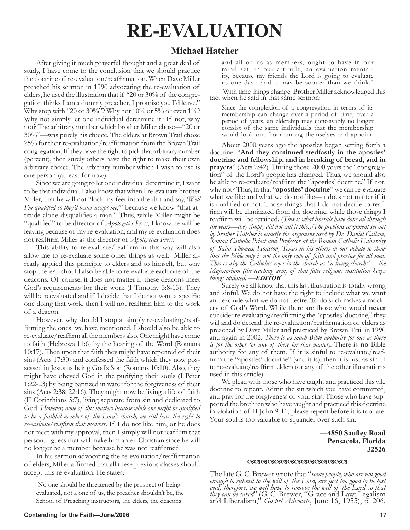# **RE-EVALUATION**

## **Michael Hatcher**

After giving it much prayerful thought and a great deal of study, I have come to the conclusion that we should practice the doctrine of re-evaluation/reaffirmation. When Dave Miller preached his sermon in 1990 advocating the re-evaluation of elders, he used the illustration that if "20 or 30% of the congregation thinks I am a dummy preacher, I promise you I'd leave." Why stop with "20 or 30%"? Why not 10% or 5% or even 1%? Why not simply let one individual determine it? If not, why not? The arbitrary number which brother Miller chose—"20 or 30%"—was purely his choice. The elders at Brown Trail chose 25% for their re-evaluation/reaffirmation from the Brown Trail congregation. If they have the right to pick that arbitrary number (percent), then surely others have the right to make their own arbitrary choice. The arbitrary number which I wish to use is one person (at least for now).

Since we are going to let one individual determine it, I want to be that individual. I also know that when I re-evaluate brother Miller, that he will not "lock my feet into the dirt and say, '*Well I'm qualified so they'd better accept me*,'" because we know "that attitude alone disqualifies a man." Thus, while Miller might be "qualified" to be director of *Apologetics Press*, I know he will be leaving because of my re-evaluation, and my re-evaluation does not reaffirm Miller as the director of *Apologetics Press*.

This ability to re-evaluate/reaffirm in this way will also allow me to re-evaluate some other things as well. Miller already applied this principle to elders and to himself, but why stop there? I should also be able to re-evaluate each one of the deacons. Of course, it does not matter if these deacons meet God's requirements for their work (I Timothy 3:8-13). They will be reevaluated and if I decide that I do not want a specific one doing that work, then I will not reaffirm him to the work of a deacon.

However, why should I stop at simply re-evaluating/reaffirming the ones we have mentioned. I should also be able to re-evaluate/reaffirm all the members also. One might have come to faith (Hebrews 11:6) by the hearing of the Word (Romans 10:17). Then upon that faith they might have repented of their sins (Acts 17:30) and confessed the faith which they now possessed in Jesus as being God's Son (Romans 10:10). Also, they might have obeyed God in the purifying their souls (I Peter 1:22-23) by being baptized in water for the forgiveness of their sins (Acts 2:38; 22:16). They might now be living a life of faith (II Corinthians 5:7), living separate from sin and dedicated to God. *However, none of this matters because while one might be qualified to be a faithful member of the Lord's church, we still have the right to re-evaluate/reaffirm that member*. If I do not like him, or he does not meet with my approval, then I simply will not reaffirm that person. I guess that will make him an ex-Christian since he will no longer be a member because he was not reaffirmed.

In his sermon advocating the re-evaluation/reaffirmation of elders, Miller affirmed that all these previous classes should accept this re-evaluation. He states:

No one should be threatened by the prospect of being evaluated, not a one of us, the preacher shouldn't be, the School of Preaching instructors, the elders, the deacons

and all of us as members, ought to have in our mind set, in our attitude, an evaluation mental- ity, because my friends the Lord is going to evaluate us one day—and it may be sooner than we think."

With time things change. Brother Miller acknowledged this fact when he said in that same sermon:

Since the complexion of a congregation in terms of its membership can change over a period of time, over a period of years, an eldership may conceivably no longer consist of the same individuals that the membership would look out from among themselves and appoint.

About 2000 years ago the apostles began setting forth a doctrine. "**And they continued stedfastly in the apostles' doctrine and fellowship, and in breaking of bread, and in prayers**" (Acts 2:42). During those 2000 years the "congregation" of the Lord's people has changed. Thus, we should also be able to re-evaluate/reaffirm the "apostles' doctrine." If not, why not? Thus, in that "**apostles' doctrine**" we can re-evaluate what we like and what we do not like—it does not matter if it is qualified or not. Those things that I do not decide to reaffirm will be eliminated from the doctrine, while those things I reaffirm will be retained. (*This is what liberals have done all through the years—they simply did not call it this.)[The previous argument set out by brother Hatcher is exactly the argument used by Dr. Daniel Callam, Roman Catholic Priest and Professor at the Roman Catholic University of Saint Thomas, Houston, Texas in his efforts in our debate to show that the Bible only is not the only rule of faith and practice for all men. This is why the Catholics refer to the church as "a living church"— the Majistorium (the teaching arm) of that false religious institution keeps things updated. —EDITOR]*

Surely we all know that this last illustration is totally wrong and sinful. We do not have the right to include what we want and exclude what we do not desire. To do such makes a mockery of God's Word. While there are those who would **never** consider re-evaluating/reaffirming the "apostles' doctrine," they will and do defend the re-evaluation/reaffirmation of elders as preached by Dave Miller and practiced by Brown Trail in 1990 and again in 2002. *There is as much Bible authority for one as there is for the other (or any of these for that matter).* There is **no** Bible authority for any of them. If it is sinful to re-evaluate/reaffirm the "apostles' doctrine" (and it is), then it is just as sinful to re-evaluate/reaffirm elders (or any of the other illustrations used in this article).

We plead with those who have taught and practiced this vile doctrine to repent. Admit the sin which you have committed, and pray for the forgiveness of your sins. Those who have supported the brethren who have taught and practiced this doctrine in violation of II John 9-11, please repent before it is too late. Your soul is too valuable to squander over such sin.

### **—4850 Saufley Road Pensacola, Florida 32526**

#### <u>ശേശശേശേശശേശശേശശേശ</u>

The late G. C. Brewer wrote that "*some people, who are not good enough to submit to the will of the Lord, are just too good to be lost and, therefore, we will have to remove the will of the Lord so that they can be saved*" (G. C. Brewer, "Grace and Law: Legalism and Liberalism," *Gospel Advocate*, June 16, 1955), p. 206.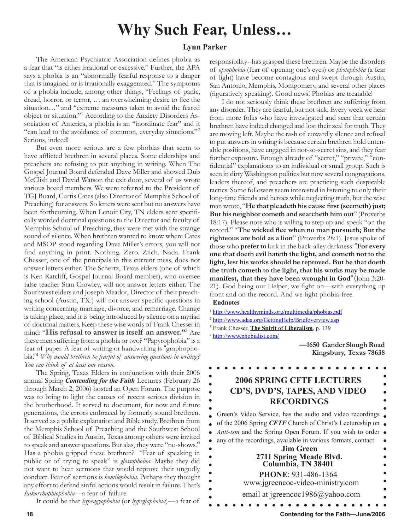# **Why Such Fear, Unless…**

### **Lynn Parker**

The American Psychiatric Association defines phobia as a fear that "is either irrational or excessive." Further, the APA says a phobia is an "abnormally fearful response to a danger that is imagined or is irrationally exaggerated." The symptoms of a phobia include, among other things, "Feelings of panic, dread, horror, or terror, … an overwhelming desire to flee the situation…" and "extreme measures taken to avoid the feared object or situation."<sup>1</sup> According to the Anxiety Disorders Association of America, a phobia is an "inordinate fear" and it "can lead to the avoidance of common, everyday situations."<sup>2</sup> Serious, indeed!

But even more serious are a few phobias that seem to have afflicted brethren in several places. Some elderships and preachers are refusing to put anything in writing. When The Gospel Journal Board defended Dave Miller and showed Dub McClish and David Watson the exit door, several of us wrote various board members. We were referred to the President of TGJ Board, Curtis Cates (also Director of Memphis School of Preaching) for answers. So letters were sent but no answers have been forthcoming. When Lenoir City, TN elders sent specifically worded doctrinal questions to the Director and faculty of Memphis School of Preaching, they were met with the strange sound of silence. When brethren wanted to know where Cates and MSOP stood regarding Dave Miller's errors, you will not find anything in print. Nothing. Zero. Zilch. Nada. Frank Chesser, one of the principals in this current mess, does not answer letters either. The Schertz, Texas elders (one of which is Ken Ratcliff, Gospel Journal Board member), who oversee false teacher Stan Crowley, will not answer letters either. The Southwest elders and Joseph Meador, Director of their preaching school (Austin, TX.) will not answer specific questions in writing concerning marriage, divorce, and remarriage. Change is taking place, and it is being introduced by silence on a myriad of doctrinal matters. Keep these wise words of Frank Chesser in mind: "**His refusal to answer is itself an answer."**<sup>3</sup> Are these men suffering from a phobia or two? "Papyrophobia" is a fear of paper. A fear of writing or handwriting is "graphophobia."4 *Why would brethren be fearful of answering questions in writing? You can think of at least one reason*.

The Spring, Texas Elders in conjunction with their 2006 annual Spring *Contending for the Faith* Lectures (February 26 through March 2, 2006) hosted an Open Forum. The purpose was to bring to light the causes of recent serious division in the brotherhood. It served to document, for now and future generations, the errors embraced by formerly sound brethren. It served as a public explanation and Bible study. Brethren from the Memphis School of Preaching and the Southwest School of Biblical Studies in Austin, Texas among others were invited to speak and answer questions. But alas, they were "no-shows." Has a phobia gripped these brethren? "Fear of speaking in public or of trying to speak" is *glossophobia*. Maybe they did not want to hear sermons that would reprove their ungodly conduct. Fear of sermons is *homilophobia*. Perhaps they thought any effort to defend sinful actions would result in failure. That's *kakorrhaphiophobia*—a fear of failure.

It could be that *hypengyophobia* (or *hypegiaphobia*)—a fear of

responsibility--has grasped these brethren. Maybe the disorders of *optophobia* (fear of opening one's eyes) or *photophobia* (a fear of light) have become contagious and swept through Austin, San Antonio, Memphis, Montgomery, and several other places (figuratively speaking). Good news! Phobias are treatable!

I do not seriously think these brethren are suffering from any disorder. They are fearful, but not sick. Every week we hear from more folks who have investigated and seen that certain brethren have indeed changed and lost their zeal for truth. They are moving left. Maybe the rash of cowardly silence and refusal to put answers in writing is because certain brethren hold untenable positions, have engaged in not-so-secret sins, and they fear further exposure. Enough already of "secret," "private," "confidential" explanations to an individual or small group. Such is seen in dirty Washington politics but now several congregations, leaders thereof, and preachers are practicing such despicable tactics. Some followers seem interested in listening to only their long-time friends and heroes while neglecting truth, but the wise man wrote, "**He that pleadeth his cause first (seemeth) just; But his neighbor cometh and searcheth him out**" (Proverbs 18:17). Please note who is willing to step up and speak "on the record." "**The wicked flee when no man pursueth; But the righteous are bold as a lion**" (Proverbs 28:1). Jesus spoke of those who **prefer to** lurk in the back-alley darkness: "**For every one that doeth evil hateth the light, and cometh not to the light, lest his works should be reproved. But he that doeth the truth cometh to the light, that his works may be made manifest, that they have been wrought in God**" (John 3:20- 21). God being our Helper, we fight on—with everything up front and on the record. And we fight phobia-free.  **Endnotes**

 $\bullet$ 

<sup>1</sup> http://www.healthyminds.org/multimedia/phobias.pdf

<sup>2</sup> http://www.adaa.org/GettingHelp/Briefoverview.asp

3 Frank Chesser, **The Spirit of Liberalism**, p. 139

<sup>4</sup> http://www.phobialist.com/

 **—1650 Gander Slough Road Kingsbury, Texas 78638**

# **2006 SPRING CFTF LECTURES CD'S, DVD'S, TAPES, AND VIDEO RECORDINGS**

Green's Video Service, has the audio and video recordings  $\bullet$ of the 2006 Spring *CFTF* Church of Christ's Lectureship on *Anti-ism* and the Spring Open Forum. If you wish to order  $\bullet$  $\bullet$ any of the recordings, available in various formats, contact **Jim Green 2711 Spring Meade Blvd. Columbia, TN 38401 PHONE**: 931-486-1364 www.jgreencoc-video-ministry.com email at jgreencoc1986@yahoo.com

**18 Contending for the Faith—June/2006**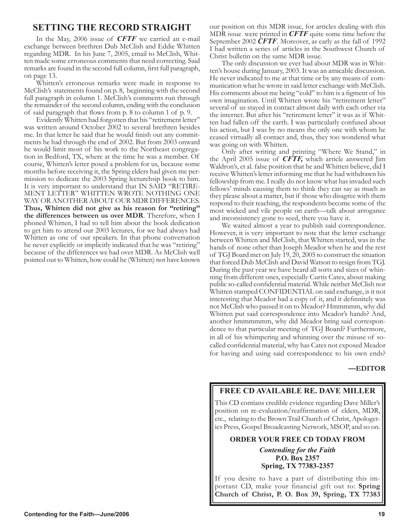### **SETTING THE RECORD STRAIGHT**

In the May, 2006 issue of *CFTF* we carried an e-mail exchange between brethren Dub McClish and Eddie Whitten regarding MDR. In his June 7, 2005, email to McClish, Whit- ten made some erroneous comments that need correcting. Said remarks are found in the second full column, first full paragraph, on page 13.

Whitten's erroneous remarks were made in response to McClish's statements found on p. 8, beginning with the second full paragraph in column 1. McClish's comments run through the remainder of the second column, ending with the conclusion of said paragraph that flows from p. 8 to column 1 of p. 9.

Evidently Whitten had forgotten that his "retirement letter" was written around October 2002 to several brethren besides me. In that letter he said that he would finish out any commitments he had through the end of 2002. But from 2003 onward he would limit most of his work to the Northeast congregation in Bedford, TX, where at the time he was a member. Of course, Whitten's letter posed a problem for us, because some months before receiving it, the Spring elders had given me permission to dedicate the 2003 Spring lecturehsip book to him. It is very important to understand that IN SAID "RETIRE-MENT LETTER" WHITTEN WROTE NOTHING ONE WAY OR ANOTHER ABOUT OUR MDR DIFFERENCES. **Thus, Whitten did not give as his reason for "retiring" the differences between us over MDR**. Therefore, when I phoned Whitten, I had to tell him about the book dedication to get him to attend our 2003 lectures, for we had always had Whitten as one of our speakers. In that phone conversation he never explicitly or implicitly indicated that he was "retiring" because of the differences we had over MDR. As McClish well pointed out to Whitten, how could he (Whitten) not have known our position on this MDR issue, for articles dealing with this MDR issue were printed in *CFTF* quite some time before the September 2002 *CFTF*. Moreover, as early as the fall of 1992 I had written a series of articles in the Southwest Church of Christ bulletin on the same MDR issue.

The only discussion we ever had about MDR was in Whit- ten's house during January, 2003. It was an amicable discussion. He never indicated to me at that time or by any means of com- munication what he wrote in said letter exchange with McClish. His comments about me being "cold" to him is a figment of his own imagination. Until Whitten wrote his "retirement letter" several of us stayed in contact almost daily with each other via<br>the internet. But after his "retirement letter" it was as if Whitten had fallen off the earth. I was particularly confused about his action, but I was by no means the only one with whom he ceased virtually all contact and, thus, they too wondered what was going on with Whitten.

Only after writing and printing "Where We Stand," in the April 2005 issue of *CFTF,* which article answered Jim Waldron's, et al. false position that he and Whitten believe, did I receive Whitten's letter informing me that he had withdrawn his fellowship from me. I really do not know what has invaded such fellows' minds causing them to think they can say as much as they please about a matter, but if those who disagree with them respond to their teaching, the respondents become some of the most wicked and vile people on earth—talk about arrogance and inconsistency gone to seed, there you have it.

We waited almost a year to publish said correspondence. However, it is very important to note that the letter exchange between Whitten and McClish, that Whitten started, was in the hands of none other than Joseph Meador when he and the rest of TGJ Board met on July 19, 20, 2005 to construct the situation that forced Dub McClish and David Watson to resign from TGJ. During the past year we have heard all sorts and sizes of whin- ning from different ones, especially Curtis Cates, about making public so-called confidential material. While neither McClish nor Whitten stamped CONFIDENTIAL on said exchange, is it not interesting that Meador had a copy of it, and it definnitely was not McClish who passed it on to Meador? Hmmmmm, why did Whitten put said correspondence into Meador's hands? And, another hmmmmmm, why did Meador bring said correspondence to that particular meeting of TGJ Board? Furthermore, in all of his whimpering and whinning over the misuse of socalled confidential material, why has Cates not exposed Meador for having and using said correspondence to his own ends?

### **—EDITOR**

### **FREE CD AVAILABLE RE. DAVE MILLER**

This CD contians credible evidence regarding Dave Miller's position on re-evaluation/reaffirmation of elders, MDR, etc., relating to the Brown Trail Church of Christ, Apologetics Press, Gospel Broadcasting Network, MSOP, and so on.

### **ORDER YOUR FREE CD TODAY FROM**

*Contending for the Faith* **P.O. Box 2357 Spring, TX 77383-2357** 

If you desire to have a part of distributing this important CD, make your financial gift out to: **Spring Church of Christ, P. O. Box 39, Spring, TX 77383**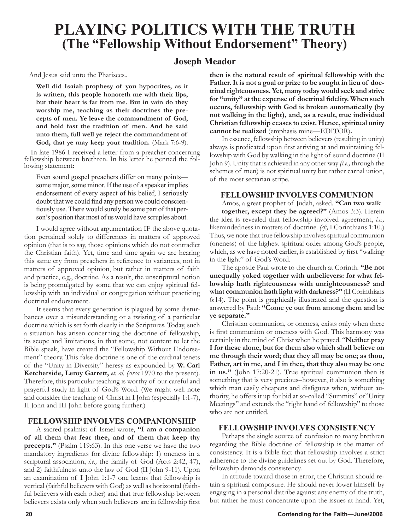# **PLAYING POLITICS WITH THE TRUTH (The "Fellowship Without Endorsement" Theory)**

### **Joseph Meador**

And Jesus said unto the Pharisees..

**Well did Isaiah prophesy of you hypocrites, as it is written, this people honoreth me with their lips, but their heart is far from me. But in vain do they worship me, teaching as their doctrines the precepts of men. Ye leave the commandment of God, and hold fast the tradition of men. And he said unto them, full well ye reject the commandment of**  God, that ye may keep your tradition. (Mark 7:6-9).

In late 1986 I received a letter from a preacher concerning fellowship between brethren. In his letter he penned the fol- lowing statement:

Even sound gospel preachers differ on many points some major, some minor. If the use of a speaker implies endorsement of every aspect of his belief, I seriously doubt that we could find any person we could conscientiously use. There would surely be some part of that person's position that most of us would have scruples about.

I would agree without argumentation IF the above quotation pertained solely to differences in matters of approved opinion (that is to say, those opinions which do not contradict the Christian faith). Yet, time and time again we are hearing this same cry from preachers in reference to variances, not in matters of approved opinion, but rather in matters of faith and practice, e.g., doctrine. As a result, the unscriptural notion is being promulgated by some that we can enjoy spiritual fellowship with an individual or congregation without practicing doctrinal endorsement.

It seems that every generation is plagued by some disturbances over a misunderstanding or a twisting of a particular doctrine which is set forth clearly in the Scriptures. Today, such a situation has arisen concerning the doctrine of fellowship, its scope and limitations, in that some, not content to let the Bible speak, have created the "Fellowship Without Endorsement" theory. This false doctrine is one of the cardinal tenets of the "Unity in Diversity" heresy as expounded by **W. Carl Ketcherside, Leroy Garrett,** *et. al. (circa* 1970 to the present). Therefore, this particular teaching is worthy of our careful and prayerful study in light of God's Word. (We might well note and consider the teaching of Christ in I John (especially 1:1-7), II John and III John before going further.)

### **FELLOWSHIP INVOLVES COMPANIONSHIP**

A sacred psalmist of Israel wrote, **"I am a companion of all them that fear thee, and of them that keep thy precepts."** (Psalm 119:63). In this one verse we have the two mandatory ingredients for divine fellowship: 1) oneness in a scriptural association, *i.e.,* the family of God (Acts 2:42, 47), and 2) faithfulness unto the law of God (II John 9-11). Upon an examination of I John 1:1-7 one learns that fellowship is vertical (faithful believers with God) as well as horizontal (faithful believers with each other) and that true fellowship between believers exists only when such believers are in fellowship first

**then is the natural result of spiritual fellowship with the Father. It is not a goal or prize to be sought in lieu of doctrinal righteousness. Yet, many today would seek and strive for "unity" at the expense of doctrinal fidelity. When such occurs, fellowship with God is broken automatically (by not walking in the light), and, as a result, true individual Christian fellowship ceases to exist. Hence, spiritual unity cannot be realized** (emphasis mine—EDITOR)**.**

In essence, fellowship between believers (resulting in unity) always is predicated upon first arriving at and maintaining fellowship with God by walking in the light of sound doctrine (II John 9). Unity that is achieved in any other way *(i.e.,* through the schemes of men) is not spiritual unity but rather carnal union, of the most sectarian stripe.

### **FELLOWSHIP INVOLVES COMMUNION**

Amos, a great prophet of Judah, asked. **"Can two walk together, except they be agreed?"** (Amos 3:3). Herein the idea is revealed that fellowship involved agreement, *i.e.,*  likemindedness in matters of doctrine. *(cf:,* I Corinthians 1:10.) Thus, we note that true fellowship involves spiritual communion (oneness) of the highest spiritual order among God's people, which, as we have noted earlier, is established by first "walking in the light" of God's Word.

The apostle Paul wrote to the church at Corinth. **"Be not unequally yoked together with unbelievers: for what fellowship hath righteousness with unrighteousness? and what communion hath light with darkness?"** (II Corinthians 6:14). The point is graphically illustrated and the question is answered by Paul: **"Come ye out from among them and be ye separate."**

Christian communion, or oneness, exists only when there is first communion or oneness with God. This harmony was certainly in the mind of Christ when he prayed. "**Neither pray I for these alone, but for them also which shall believe on me through their word; that they all may be one; as thou, Father, art in me, and I in thee, that they also may be one in us."** (John 17:20-21). True spiritual communion then is something that is very precious–however, it also is something which man easily cheapens and disfigures when, without authority, he offers it up for bid at so-called "Summits" or"Unity Meetings" and extends the "right hand of fellowship" to those who are not entitled.

### **FELLOWSHIP INVOLVES CONSISTENCY**

Perhaps the single source of confusion to many brethren regarding the Bible doctrine of fellowship is the matter of consistency. It is a Bible fact that fellowship involves a strict adherence to the divine guidelines set out by God. Therefore, fellowship demands consistency.

In attitude toward those in error, the Christian should retain a spiritual composure. He should never lower himself by engaging in a personal diatribe against any enemy of the truth, but rather he must concentrate upon the issues at hand. Yet,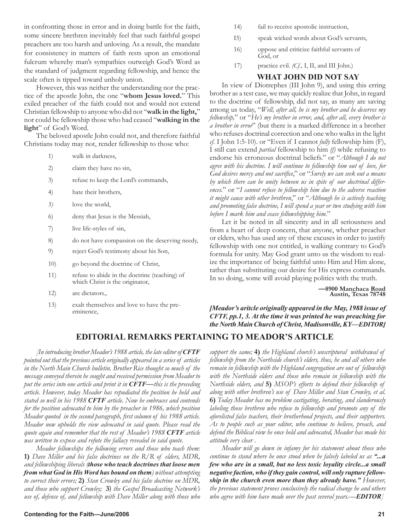in confronting those in error and in doing battle for the faith, some sincere brethren inevitably feel that such faithful gospel preachers are too harsh and unloving. As a result, the mandate for consistency in matters of faith rests upon an emotional fulcrum whereby man's sympathies outweigh God's Word as the standard of judgment regarding fellowship, and hence the scale often is tipped toward unholy union.

However, this was neither the understanding nor the practice of the apostle John, the one "**whom Jesus loved.**" This exiled preacher of the faith could not and would not extend Christian fellowship to anyone who did not "**walk in the light,**" nor could he fellowship those who had ceased "**walking in the light**" of God's Word.

The beloved apostle John could not, and therefore faithful Christians today may not, render fellowship to those who:

- 1) walk in darkness,
- 2) claim they have no sin,
- 3) refuse to keep the Lord's commands,
- 4) hate their brothers,
- *5)* love the world,
- 6) deny that Jesus is the Messiah,
- 7) live life-styles of sin,
- 8) do not have compassion on the deserving needy,
- 9) reject God's testimony about his Son,
- 10) go beyond the doctrine of Christ,
- 11) refuse to abide in the doctrine (teaching) of which Christ is the originator,
- 12) are dictators.,
- 13) exalt themselves and love to have the preeminence,
- 14) fail to receive apostolic instruction,
- I5) speak wicked words about God's servants,
- 16) oppose and criticize faithful servants of God, or
- 17) practice evil. *(Cf.,* I, II, and III John.)

### **WHAT JOHN DID NOT SAY**

In view of Diotrephes (III John 9), and using this erring brother as a test case, we may quickly realize that John, in regard to the doctrine of fellowship, did not say, as many are saving among us today, "*Well, after all, he is my brother and he deserves my fellowship,*" or "*He's my brother in error, and, after all, every brother is a brother in error*" (but there is a marked difference in a brother who refuses doctrinal correction and one who walks in the light *cf.* I John 1:5-10). or "Even if I cannot *fully* fellowship him (F), I still can extend *partial* fellowship to him *(f)* while refusing to endorse his erroneous doctrinal beliefs." or "*Although I do not agree with his doctrine. I will continue to fellowship him out of love, for God desires mercy and not sacrifice*," or "*Surely we can seek out a means by which there can be unity between us in spite of our doctrinal differences.*" or "*I cannot refuse to fellowship him due to the adverse reaction it might cause with other brethren*," or "*Although he is actively teaching and promoting false doctrine, I will spend a year or two studying with him before I mark him and cease fellowshipping him.*"

Let it be noted in all sincerity and in all seriousness and from a heart of deep concern, that anyone, whether preacher or elders, who has used any of these excuses in order to justify fellowship with one not entitled, is walking contrary to God's formula for unity. May God grant unto us the wisdom to realize the importance of being faithful unto Him and Him alone, rather than substituting our desire for His express commands. In so doing, some will avoid playing politics with the truth.

> **—8900 Manchaca Road Austin, Texas 78748**

*[Meador's aritcle originally appeared in the May, 1988 issue of CFTF, pp.1, 3. At the time it was printed he was preaching for the North Main Church of Christ, Madisonville, KY—EDITOR]*

### **EDITORIAL REMARKS PERTAINING TO MEADOR'S ARTICLE**

*[In introducing brother Meador's 1988 article, the late editor of CFTF pointed out that the previous article originally appeared in a series of articles in the North Main Church bulletin. Brother Rice thought so much of the message conveyed therein he sought and received permission from Meador to put the series into one article and print it in CFTF—this is the preceding article. However, today Meador has repudiated the position he held and stated so well in his 1988 CFTF article. Now he embraces and contends for the position advocated to him by the preacher in 1986, which position Meador quoted in the second paragraph, first column of his 1988 article. Meador now upholds the view advocated in said quote. Please read the quote again and remember that the rest of Meador's 1988 CFTF article was written to expose and refute the fallacy revealed in said quote.* 

*Meador fellowships the following errors and those who teach them:*  **1)** *Dave Miller and his false doctrines on the R/R of elders, MDR, and fellowshiping liberals (those who teach doctrines that loose men from what God in His Word has bound on them) without attempting to correct their errors;* **2)** *Stan Crowley and his false doctrine on MDR, and those who support Crowley;* **3***) the Gospel Broadcasting Network's use of, defense of, and fellowship with Dave Miller along with those who*  *support the same;* **4)** *the Highland church's unscriptural withdrawal of fellowship from the Northside church's elders, thus, he and all others who remain in fellowship with the Highland congregation are out of fellowship with the Northside elders and those who remain in fellowship with the Northside elders, and* **5)** *MSOP's efforts to defend their fellowship of along with other brethren's use of Dave Miller and Stan Crowley, et al.*  **6)** *Today Meador has no problem castigating, berating, and slanderously labeling those brethren who refuse to fellowship and promote any of the aforelisted false teachers, their brotherhood projects, and their supporters. As to people such as your editor, who continue to believe, preach, and defend the Biblical view he once held and advocated, Meador has made his attitude very clear* .

*Meador will go down in infamy for his statement about those who continue to stand where he once stood when he falsely labeled us as "...a few who are in a small, but no less toxic loyality circle...a small negative faction, who if they gain control, will only rupture fellowship in the church even more than they already have." However, the previous statement proves conclusively the radical change he and others who agree with him have made over the past several years.—EDITOR]*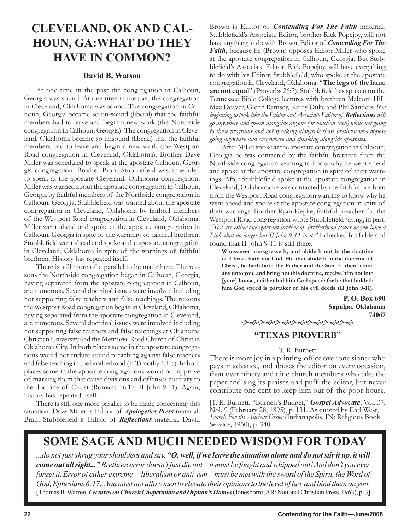# **CLEVELAND, OK AND CAL-HOUN, GA:WHAT DO THEY HAVE IN COMMON?**

### **David B. Watson**

At one time in the past the congregation in Calhoun, Georgia was sound. At one time in the past the congregation in Cleveland, Oklahoma was sound. The congregation in Calhoun, Georgia became so un-sound (liberal) that the faithful members had to leave and begin a new work (the Northside congregation in Calhoun, Georgia). The congregation in Cleveland, Oklahoma became so unsound (liberal) that the faithful members had to leave and begin a new work (the Westport Road congregation in Cleveland, Oklahoma). Brother Dave Miller was scheduled to speak at the apostate Calhoun, Georgia congregation. Brother Brant Stubblefield was scheduled to speak at the apostate Cleveland, Oklahoma congregation. Miller was warned about the apostate congregation in Calhoun, Georgia by faithful members of the Northside congregation in Calhoun, Georgia. Stubblefield was warned about the apostate congregation in Cleveland, Oklahoma by faithful members of the Westport Road congregation in Cleveland, Oklahoma. Miller went ahead and spoke at the apostate congregation in Calhoun, Georgia in spite of the warnings of faithful brethren. Stubblefield went ahead and spoke at the apostate congregation in Cleveland, Oklahoma in spite of the warnings of faithful brethren. History has repeated itself.

There is still more of a parallel to be made here. The reasons the Northside congregation began in Calhoun, Georgia, having separated from the apostate congregation in Calhoun, are numerous. Several doctrinal issues were involved including not supporting false teachers and false teachings. The reasons the Westport Road congregation began in Cleveland, Oklahoma, having separated from the apostate congregation in Cleveland, are numerous. Several doctrinal issues were involved including not supporting false teachers and false teachings at Oklahoma Christian University and the Memorial Road Church of Christ in Oklahoma City. In both places some in the apostate congregations would not endure sound preaching against false teachers and false teaching in the brotherhood (II Timothy 4:1-5). In both places some in the apostate congregations would not approve of marking them that cause divisions and offenses contrary to the doctrine of Christ (Romans 16:17; II John 9-11). Again, history has repeated itself.

There is still one more parallel to be made concerning this situation. Dave Miller is Editor of *Apologetics Press* material. Brant Stubblefield is Editor of *Reflections* material. David Brown is Editor of *Contending For The Faith* material. Stubblefield's Associate Editor, brother Rick Popejoy, will not have anything to do with Brown, Editor of *Contending For The Faith*, because he (Brown) opposes Editor Miller who spoke at the apostate congregation in Calhoun, Georgia. But Stubblefield's Associate Editor, Rick Popejoy, will have everything to do with his Editor, Stubblefield, who spoke at the apostate congregation in Cleveland, Oklahoma. "**The legs of the lame are not equal**" (Proverbs 26:7). Stubblefield has spoken on the Tennessee Bible College lectures with brethren Malcom Hill, Mac Deaver, Glenn Ramsey, Kerry Duke and Phil Sanders. *It is beginning to look like the Editor and Associate Editor of Reflections will go anywhere and speak alongside anyone (or sanction such) while not going to those programs and not speaking alongside those brethren who oppose going anywhere and everywhere and speaking alongside apostates.* 

After Miller spoke at the apostate congregation in Calhoun, Georgia he was contacted by the faithful brethren from the Northside congregation wanting to know why he went ahead and spoke at the apostate congregation in spite of their warnings. After Stubblefield spoke at the apostate congregation in Cleveland, Oklahoma he was contacted by the faithful brethren from the Westport Road congregation wanting to know why he went ahead and spoke at the apostate congregation in spite of their warnings. Brother Ryan Kepke, faithful preacher for the Westport Road congregation wrote Stubblefield saying, in part: "*You are either one ignorant brother of brotherhood issues or you have a Bible that no longer has II John 9-11 in it."* I checked his Bible and found that II John 9-11 is still there.

**Whosoever transgresseth, and abideth not in the doctrine of Christ, hath not God. He that abideth in the doctrine of Christ, he hath both the Father and the Son. If there come any unto you, and bring not this doctrine, receive him not into [your] house, neither bid him God speed: for he that biddeth him God speed is partaker of his evil deeds (II John 9-11).**

> **—P. O. Box 690 Sapulpa, Oklahoma 74067**

ড়৽৻ড়৽৻ড়৽৻ড়৽৻ড়৽৻ড়৽৻ড়৽৻ড়৽৻

### **"TEXAS PROVERB**"

### T. R. Burnett

There is more joy in a printing-office over one sinner who pays in advance, and abuses the editor on every occasion, than over ninety and nine church members who take the paper and sing its praises and puff the editor, but never contribute one cent to keep him out of the poor-house.

[T. R. Burnett, "Burnett's Budget," *Gospel Advocate*, Vol. 37, Nol. 9 (February 28, 1895), p. 131. As quoted by Earl West, *Search For the Ancient Order* (Indianapolis, IN: Religious Book Service, 1950), p. 340.]

# **SOME SAGE AND MUCH NEEDED WISDOM FOR TODAY**

*...do not just shrug your shoulders and say, "O, well, if we leave the situation alone and do not stir it up, it will come out all right..."Brethren error doesn't just die out—it must be fought and whipped out! And don't you ever forget it. Error of either extreme* —liberalism or anti-ism—must be met with the sword of the Spirit, the Word of *God, Ephesians 6:17...You must not allow men to elevate their opinions to the level of law and bind them on you.* [Thomas B. Warren, *Lectures on Church Cooperation and Orphan's Homes* (Jonesborro, AR: National Christian Press, 1963), p. 3]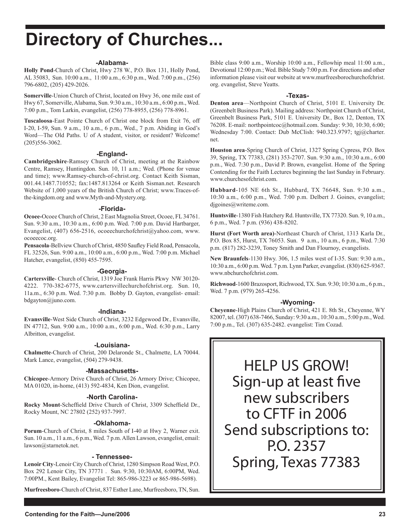# **Directory of Churches...**

### **-Alabama-**

**Holly Pond**-Church of Christ, Hwy 278 W., P.O. Box 131, Holly Pond, AL 35083, Sun. 10:00 a.m., 11:00 a.m., 6:30 p.m., Wed. 7:00 p.m., (256) 796-6802, (205) 429-2026.

**Somerville**-Union Church of Christ, located on Hwy 36, one mile east of Hwy 67, Somerville, Alabama, Sun. 9:30 a.m., 10:30 a.m., 6:00 p.m., Wed. 7:00 p.m., Tom Larkin, evangelist, (256) 778-8955, (256) 778-8961.

**Tuscaloosa**-East Pointe Church of Christ one block from Exit 76, off I-20, I-59, Sun. 9 a.m., 10 a.m., 6 p.m., Wed., 7 p.m. Abiding in God's Word—The Old Paths. U of A student, visitor, or resident? Welcome! (205)556-3062.

### **-England-**

**Cambridgeshire**-Ramsey Church of Christ, meeting at the Rainbow Centre, Ramsey, Huntingdon. Sun. 10, 11 a.m.; Wed. (Phone for venue and time); www.Ramsey-church-of-christ.org. Contact Keith Sisman, 001.44.1487.710552; fax:1487.813264 or Keith Sisman.net. Research Website of 1,000 years of the British Church of Christ; www.Traces-ofthe-kingdom.org and www.Myth-and-Mystery.org.

### **-Florida-**

**Ocoee-**Ocoee Church of Christ, 2 East Magnolia Street, Ocoee, FL 34761. Sun. 9:30 a.m., 10:30 a.m., 6:00 p.m. Wed. 7:00 p.m. David Hartbarger, Evangelist, (407) 656-2516, ocoeechurchofchrist@yahoo.com, www. ocoeecoc.org.

**Pensacola**-Bellview Church of Christ, 4850 Saufley Field Road, Pensacola, FL 32526, Sun. 9:00 a.m., 10:00 a.m., 6:00 p.m., Wed. 7:00 p.m. Michael Hatcher, evangelist, (850) 455-7595.

### **-Georgia-**

**Cartersville**- Church of Christ, 1319 Joe Frank Harris Pkwy NW 30120- 4222. 770-382-6775, www.cartersvillechurchofchrist.org. Sun. 10, 11a.m., 6:30 p.m. Wed. 7:30 p.m. Bobby D. Gayton, evangelist- email: bdgayton@juno.com.

### **-Indiana-**

**Evansville**-West Side Church of Christ, 3232 Edgewood Dr., Evansville, IN 47712, Sun. 9:00 a.m., 10:00 a.m., 6:00 p.m., Wed. 6:30 p.m., Larry Albritton, evangelist.

### **-Louisiana-**

**Chalmette**-Church of Christ, 200 Delaronde St., Chalmette, LA 70044. Mark Lance, evangelist, (504) 279-9438.

### **-Massachusetts-**

**Chicopee**-Armory Drive Church of Christ, 26 Armory Drive; Chicopee, MA 01020, in-home, (413) 592-4834, Ken Dion, evangelist.

### **-North Carolina-**

**Rocky Mount**-Scheffield Drive Church of Christ, 3309 Scheffield Dr., Rocky Mount, NC 27802 (252) 937-7997.

### **-Oklahoma-**

**Porum**-Church of Christ, 8 miles South of I-40 at Hwy 2, Warner exit. Sun. 10 a.m., 11 a.m., 6 p.m., Wed. 7 p.m. Allen Lawson, evangelist, email: lawson@starnetok.net.

### **- Tennessee-**

**Lenoir City**-Lenoir City Church of Christ, 1280 Simpson Road West, P.O. Box 292 Lenoir City, TN 37771 . Sun. 9:30, 10:30AM, 6:00PM, Wed. 7:00PM., Kent Bailey, Evangelist Tel: 865-986-3223 or 865-986-5698).

**Murfreesboro**-Church of Christ, 837 Esther Lane, Murfreesboro, TN, Sun.

Bible class 9:00 a.m., Worship 10:00 a.m., Fellowhip meal 11:00 a.m., Devotional 12:00 p.m.; Wed. Bible Study 7:00 p.m. For directions and other information please visit our website at www.murfreesborochurchofchrist. org. evangelist, Steve Yeatts.

### **-Texas-**

**Denton area**—Northpoint Church of Christ, 5101 E. University Dr. (Greenbelt Business Park). Mailing address: Northpoint Church of Christ, Greenbelt Business Park, 5101 E. University Dr., Box 12, Denton, TX 76208. E-mail: northpointcoc@hotmail.com. Sunday: 9:30, 10:30, 6:00; Wednesday 7:00. Contact: Dub McClish: 940.323.9797; tgj@charter. net.

**Houston area**-Spring Church of Christ, 1327 Spring Cypress, P.O. Box 39, Spring, TX 77383, (281) 353-2707. Sun. 9:30 a.m., 10:30 a.m., 6:00 p.m., Wed. 7:30 p.m., David P. Brown, evangelist. Home of the Spring Contending for the Faith Lectures beginning the last Sunday in February. www.churchesofchrist.com.

**Hubbard**-105 NE 6th St., Hubbard, TX 76648, Sun. 9:30 a.m., 10:30 a.m., 6:00 p.m., Wed. 7:00 p.m. Delbert J. Goines, evangelist; digoines@writeme.com.

**Huntsville**-1380 Fish Hatchery Rd. Huntsville, TX 77320. Sun. 9, 10 a.m., 6 p.m., Wed. 7 p.m. (936) 438-8202.

**Hurst (Fort Worth area)**-Northeast Church of Christ, 1313 Karla Dr., P.O. Box 85, Hurst, TX 76053. Sun. 9 a.m., 10 a.m., 6 p.m., Wed. 7:30 p.m. (817) 282-3239, Toney Smith and Dan Flournoy, evangelists.

**New Braunfels**-1130 Hwy. 306, 1.5 miles west of I-35. Sun: 9:30 a.m., 10:30 a.m., 6:00 p.m. Wed. 7 p.m. Lynn Parker, evangelist. (830) 625-9367. www.nbchurchofchrist.com.

**Richwood**-1600 Brazosport, Richwood, TX. Sun. 9:30; 10:30 a.m., 6 p.m., Wed. 7 p.m. (979) 265-4256.

### **-Wyoming-**

**Cheyenne**-High Plains Church of Christ, 421 E. 8th St., Cheyenne, WY 82007, tel. (307) 638-7466, Sunday: 9:30 a.m., 10:30 a.m., 5:00 p.m., Wed. 7:00 p.m., Tel. (307) 635-2482. evangelist: Tim Cozad.

HELP US GROW! Sign-up at least five new subscribers to CFTF in 2006 Send subscriptions to: P.O. 2357 Spring, Texas 77383